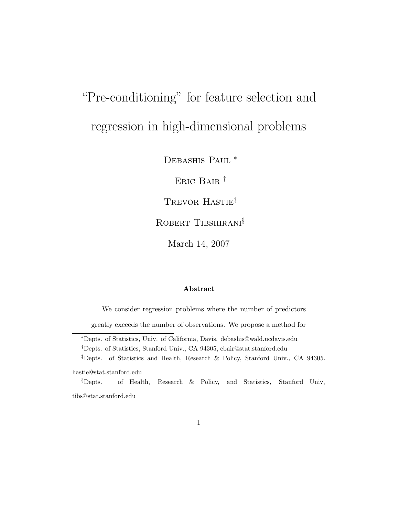# "Pre-conditioning" for feature selection and regression in high-dimensional problems

DEBASHIS PAUL<sup>\*</sup>

Eric Bair †

TREVOR HASTIE<sup>‡</sup>

ROBERT TIBSHIRANI<sup>§</sup>

March 14, 2007

#### Abstract

We consider regression problems where the number of predictors

greatly exceeds the number of observations. We propose a method for

<sup>∗</sup>Depts. of Statistics, Univ. of California, Davis. debashis@wald.ucdavis.edu

‡Depts. of Statistics and Health, Research & Policy, Stanford Univ., CA 94305.

hastie@stat.stanford.edu

§Depts. of Health, Research & Policy, and Statistics, Stanford Univ, tibs@stat.stanford.edu

<sup>†</sup>Depts. of Statistics, Stanford Univ., CA 94305, ebair@stat.stanford.edu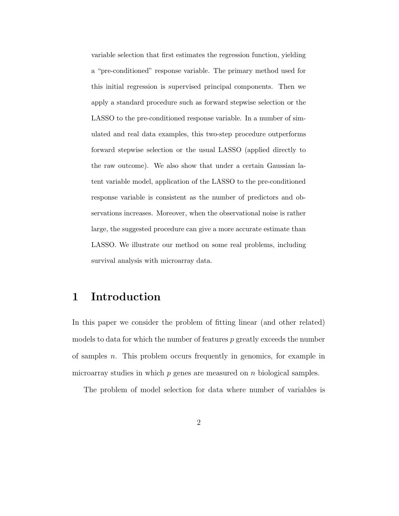variable selection that first estimates the regression function, yielding a "pre-conditioned" response variable. The primary method used for this initial regression is supervised principal components. Then we apply a standard procedure such as forward stepwise selection or the LASSO to the pre-conditioned response variable. In a number of simulated and real data examples, this two-step procedure outperforms forward stepwise selection or the usual LASSO (applied directly to the raw outcome). We also show that under a certain Gaussian latent variable model, application of the LASSO to the pre-conditioned response variable is consistent as the number of predictors and observations increases. Moreover, when the observational noise is rather large, the suggested procedure can give a more accurate estimate than LASSO. We illustrate our method on some real problems, including survival analysis with microarray data.

# 1 Introduction

In this paper we consider the problem of fitting linear (and other related) models to data for which the number of features  $p$  greatly exceeds the number of samples n. This problem occurs frequently in genomics, for example in microarray studies in which  $p$  genes are measured on  $n$  biological samples.

The problem of model selection for data where number of variables is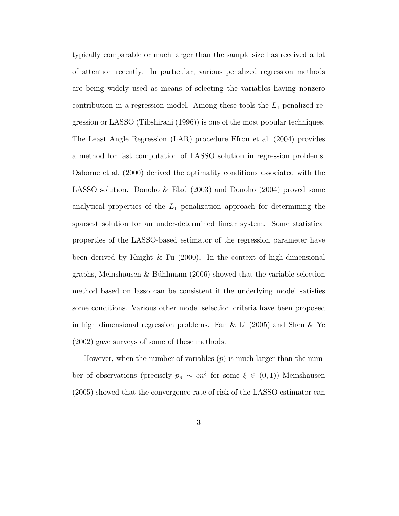typically comparable or much larger than the sample size has received a lot of attention recently. In particular, various penalized regression methods are being widely used as means of selecting the variables having nonzero contribution in a regression model. Among these tools the  $L_1$  penalized regression or LASSO (Tibshirani (1996)) is one of the most popular techniques. The Least Angle Regression (LAR) procedure Efron et al. (2004) provides a method for fast computation of LASSO solution in regression problems. Osborne et al. (2000) derived the optimality conditions associated with the LASSO solution. Donoho & Elad (2003) and Donoho (2004) proved some analytical properties of the  $L_1$  penalization approach for determining the sparsest solution for an under-determined linear system. Some statistical properties of the LASSO-based estimator of the regression parameter have been derived by Knight & Fu (2000). In the context of high-dimensional graphs, Meinshausen & Bühlmann  $(2006)$  showed that the variable selection method based on lasso can be consistent if the underlying model satisfies some conditions. Various other model selection criteria have been proposed in high dimensional regression problems. Fan & Li (2005) and Shen & Ye (2002) gave surveys of some of these methods.

However, when the number of variables  $(p)$  is much larger than the number of observations (precisely  $p_n \sim cn^{\xi}$  for some  $\xi \in (0,1)$ ) Meinshausen (2005) showed that the convergence rate of risk of the LASSO estimator can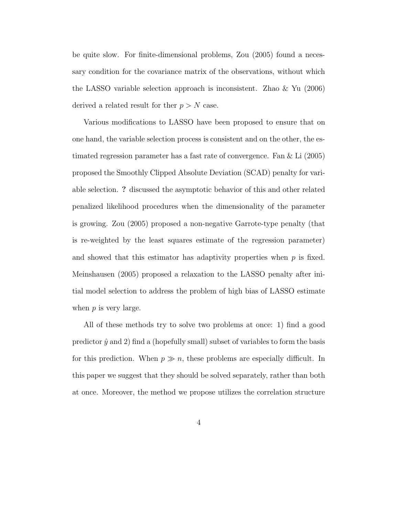be quite slow. For finite-dimensional problems, Zou (2005) found a necessary condition for the covariance matrix of the observations, without which the LASSO variable selection approach is inconsistent. Zhao & Yu (2006) derived a related result for ther  $p > N$  case.

Various modifications to LASSO have been proposed to ensure that on one hand, the variable selection process is consistent and on the other, the estimated regression parameter has a fast rate of convergence. Fan & Li (2005) proposed the Smoothly Clipped Absolute Deviation (SCAD) penalty for variable selection. ? discussed the asymptotic behavior of this and other related penalized likelihood procedures when the dimensionality of the parameter is growing. Zou (2005) proposed a non-negative Garrote-type penalty (that is re-weighted by the least squares estimate of the regression parameter) and showed that this estimator has adaptivity properties when  $p$  is fixed. Meinshausen (2005) proposed a relaxation to the LASSO penalty after initial model selection to address the problem of high bias of LASSO estimate when  $p$  is very large.

All of these methods try to solve two problems at once: 1) find a good predictor  $\hat{y}$  and 2) find a (hopefully small) subset of variables to form the basis for this prediction. When  $p \gg n$ , these problems are especially difficult. In this paper we suggest that they should be solved separately, rather than both at once. Moreover, the method we propose utilizes the correlation structure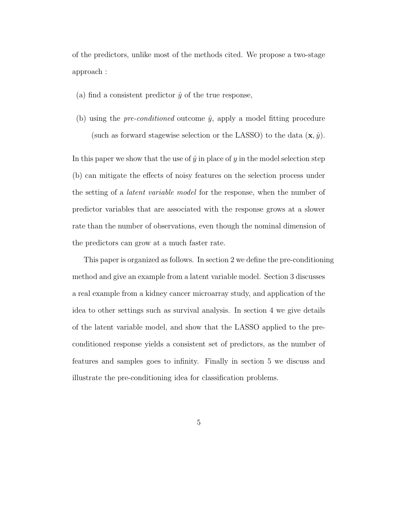of the predictors, unlike most of the methods cited. We propose a two-stage approach :

- (a) find a consistent predictor  $\hat{y}$  of the true response,
- (b) using the *pre-conditioned* outcome  $\hat{y}$ , apply a model fitting procedure (such as forward stagewise selection or the LASSO) to the data  $(\mathbf{x}, \hat{y})$ .

In this paper we show that the use of  $\hat{y}$  in place of y in the model selection step (b) can mitigate the effects of noisy features on the selection process under the setting of a latent variable model for the response, when the number of predictor variables that are associated with the response grows at a slower rate than the number of observations, even though the nominal dimension of the predictors can grow at a much faster rate.

This paper is organized as follows. In section 2 we define the pre-conditioning method and give an example from a latent variable model. Section 3 discusses a real example from a kidney cancer microarray study, and application of the idea to other settings such as survival analysis. In section 4 we give details of the latent variable model, and show that the LASSO applied to the preconditioned response yields a consistent set of predictors, as the number of features and samples goes to infinity. Finally in section 5 we discuss and illustrate the pre-conditioning idea for classification problems.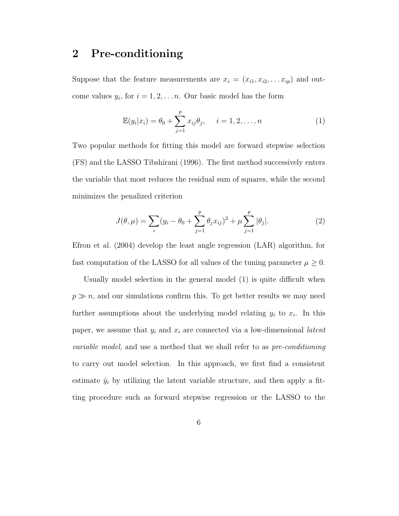# 2 Pre-conditioning

Suppose that the feature measurements are  $x_i = (x_{i1}, x_{i2}, \ldots, x_{ip})$  and outcome values  $y_i$ , for  $i = 1, 2, \ldots n$ . Our basic model has the form

$$
\mathbb{E}(y_i|x_i) = \theta_0 + \sum_{j=1}^p x_{ij}\theta_j, \quad i = 1, 2, ..., n
$$
 (1)

Two popular methods for fitting this model are forward stepwise selection (FS) and the LASSO Tibshirani (1996). The first method successively enters the variable that most reduces the residual sum of squares, while the second minimizes the penalized criterion

$$
J(\theta, \mu) = \sum_{i} (y_i - \theta_0 + \sum_{j=1}^{p} \theta_j x_{ij})^2 + \mu \sum_{j=1}^{p} |\theta_j|.
$$
 (2)

Efron et al. (2004) develop the least angle regression (LAR) algorithm, for fast computation of the LASSO for all values of the tuning parameter  $\mu \geq 0$ .

Usually model selection in the general model (1) is quite difficult when  $p \gg n$ , and our simulations confirm this. To get better results we may need further assumptions about the underlying model relating  $y_i$  to  $x_i$ . In this paper, we assume that  $y_i$  and  $x_i$  are connected via a low-dimensional *latent* variable model, and use a method that we shall refer to as pre-conditioning to carry out model selection. In this approach, we first find a consistent estimate  $\hat{y}_i$  by utilizing the latent variable structure, and then apply a fitting procedure such as forward stepwise regression or the LASSO to the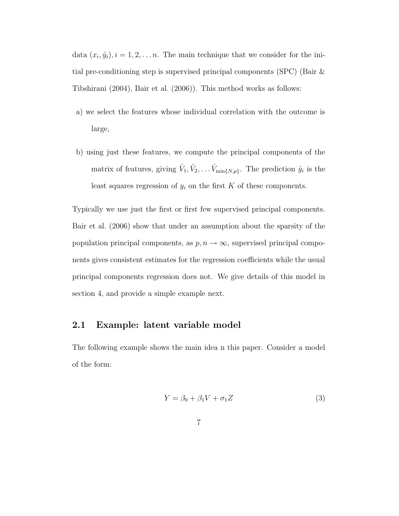data  $(x_i, \hat{y}_i), i = 1, 2, \dots n$ . The main technique that we consider for the initial pre-conditioning step is supervised principal components (SPC) (Bair & Tibshirani (2004), Bair et al. (2006)). This method works as follows:

- a) we select the features whose individual correlation with the outcome is large,
- b) using just these features, we compute the principal components of the matrix of features, giving  $\hat{V}_1, \hat{V}_2, \dots \hat{V}_{\min\{N,p\}}$ . The prediction  $\hat{y}_i$  is the least squares regression of  $y_i$  on the first  $K$  of these components.

Typically we use just the first or first few supervised principal components. Bair et al. (2006) show that under an assumption about the sparsity of the population principal components, as  $p, n \rightarrow \infty$ , supervised principal components gives consistent estimates for the regression coefficients while the usual principal components regression does not. We give details of this model in section 4, and provide a simple example next.

## 2.1 Example: latent variable model

The following example shows the main idea n this paper. Consider a model of the form:

$$
Y = \beta_0 + \beta_1 V + \sigma_1 Z \tag{3}
$$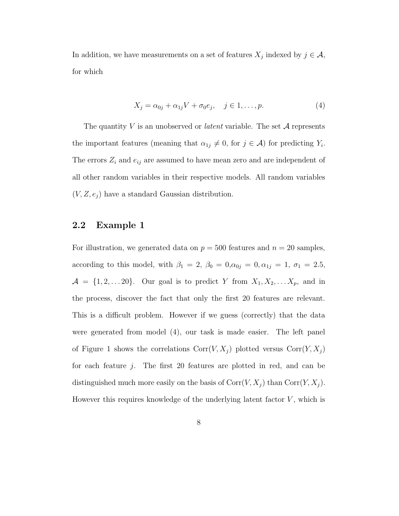In addition, we have measurements on a set of features  $X_j$  indexed by  $j \in \mathcal{A}$ , for which

$$
X_j = \alpha_{0j} + \alpha_{1j}V + \sigma_0 e_j, \quad j \in 1, \dots, p. \tag{4}
$$

The quantity V is an unobserved or *latent* variable. The set  $A$  represents the important features (meaning that  $\alpha_{1j} \neq 0$ , for  $j \in \mathcal{A}$ ) for predicting  $Y_i$ . The errors  $Z_i$  and  $e_{ij}$  are assumed to have mean zero and are independent of all other random variables in their respective models. All random variables  $(V, Z, e_j)$  have a standard Gaussian distribution.

#### 2.2 Example 1

For illustration, we generated data on  $p = 500$  features and  $n = 20$  samples, according to this model, with  $\beta_1 = 2$ ,  $\beta_0 = 0$ ,  $\alpha_{0j} = 0$ ,  $\alpha_{1j} = 1$ ,  $\sigma_1 = 2.5$ ,  $\mathcal{A} = \{1, 2, \ldots 20\}$ . Our goal is to predict Y from  $X_1, X_2, \ldots X_p$ , and in the process, discover the fact that only the first 20 features are relevant. This is a difficult problem. However if we guess (correctly) that the data were generated from model (4), our task is made easier. The left panel of Figure 1 shows the correlations  $Corr(V, X_j)$  plotted versus  $Corr(Y, X_j)$ for each feature  $j$ . The first 20 features are plotted in red, and can be distinguished much more easily on the basis of  $Corr(V, X_j)$  than  $Corr(Y, X_j)$ . However this requires knowledge of the underlying latent factor  $V$ , which is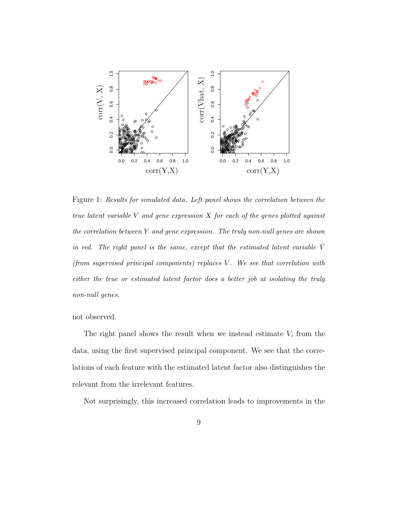

Figure 1: Results for simulated data. Left panel shows the correlation between the true latent variable  $V$  and gene expression  $X$  for each of the genes plotted against the correlation between Y and gene expression. The truly non-null genes are shown in red. The right panel is the same, except that the estimated latent variable  $\hat{V}$ (from supervised principal components) replaces V . We see that correlation with either the true or estimated latent factor does a better job at isolating the truly non-null genes.

not observed.

The right panel shows the result when we instead estimate  $V_i$  from the data, using the first supervised principal component. We see that the correlations of each feature with the estimated latent factor also distinguishes the relevant from the irrelevant features.

Not surprisingly, this increased correlation leads to improvements in the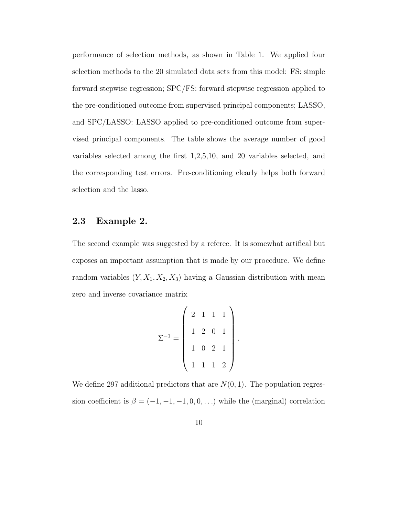performance of selection methods, as shown in Table 1. We applied four selection methods to the 20 simulated data sets from this model: FS: simple forward stepwise regression; SPC/FS: forward stepwise regression applied to the pre-conditioned outcome from supervised principal components; LASSO, and SPC/LASSO: LASSO applied to pre-conditioned outcome from supervised principal components. The table shows the average number of good variables selected among the first 1,2,5,10, and 20 variables selected, and the corresponding test errors. Pre-conditioning clearly helps both forward selection and the lasso.

#### 2.3 Example 2.

The second example was suggested by a referee. It is somewhat artifical but exposes an important assumption that is made by our procedure. We define random variables  $(Y, X_1, X_2, X_3)$  having a Gaussian distribution with mean zero and inverse covariance matrix

$$
\Sigma^{-1} = \left( \begin{array}{rrrr} 2 & 1 & 1 & 1 \\ 1 & 2 & 0 & 1 \\ 1 & 0 & 2 & 1 \\ 1 & 1 & 1 & 2 \end{array} \right).
$$

We define 297 additional predictors that are  $N(0, 1)$ . The population regression coefficient is  $\beta = (-1, -1, -1, 0, 0, ...)$  while the (marginal) correlation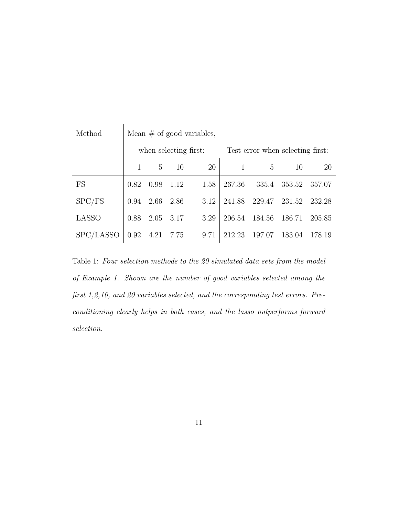| Method       | Mean $\#$ of good variables, |                |      |      |                                  |        |        |           |  |
|--------------|------------------------------|----------------|------|------|----------------------------------|--------|--------|-----------|--|
|              | when selecting first:        |                |      |      | Test error when selecting first: |        |        |           |  |
|              | $\mathbf{1}$                 | $\overline{5}$ | 10   | 20   |                                  | 5      | 10     | <b>20</b> |  |
| <b>FS</b>    | 0.82                         | 0.98           | 1.12 | 1.58 | 267.36                           | 335.4  | 353.52 | 357.07    |  |
| SPC/FS       | 0.94                         | 2.66           | 2.86 | 3.12 | 241.88                           | 229.47 | 231.52 | 232.28    |  |
| <b>LASSO</b> | 0.88                         | 2.05           | 3.17 | 3.29 | 206.54                           | 184.56 | 186.71 | 205.85    |  |
| SPC/LASSO    | 0.92                         | 4.21           | 7.75 | 9.71 | 212.23                           | 197.07 | 183.04 | 178.19    |  |

Table 1: Four selection methods to the 20 simulated data sets from the model of Example 1. Shown are the number of good variables selected among the first 1,2,10, and 20 variables selected, and the corresponding test errors. Preconditioning clearly helps in both cases, and the lasso outperforms forward selection.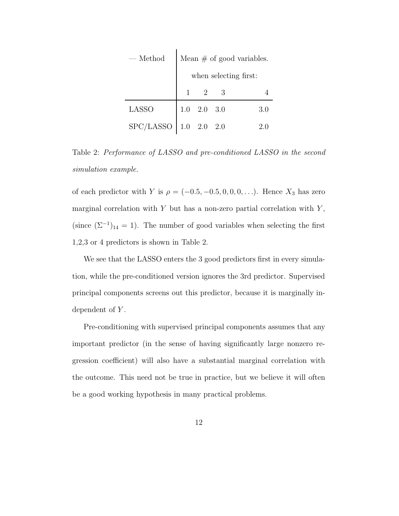| $-$ Method              | Mean $\#$ of good variables. |                |   |     |  |  |  |
|-------------------------|------------------------------|----------------|---|-----|--|--|--|
|                         | when selecting first:        |                |   |     |  |  |  |
|                         |                              | 2              | 3 |     |  |  |  |
| <b>LASSO</b>            | 1.0                          | $2.0\quad 3.0$ |   | 3.0 |  |  |  |
| SPC/LASSO $1.0$ 2.0 2.0 |                              |                |   | 2.0 |  |  |  |

Table 2: Performance of LASSO and pre-conditioned LASSO in the second simulation example.

of each predictor with Y is  $\rho = (-0.5, -0.5, 0, 0, 0, ...)$ . Hence  $X_3$  has zero marginal correlation with  $Y$  but has a non-zero partial correlation with  $Y$ , (since  $(\Sigma^{-1})_{14} = 1$ ). The number of good variables when selecting the first 1,2,3 or 4 predictors is shown in Table 2.

We see that the LASSO enters the 3 good predictors first in every simulation, while the pre-conditioned version ignores the 3rd predictor. Supervised principal components screens out this predictor, because it is marginally independent of Y.

Pre-conditioning with supervised principal components assumes that any important predictor (in the sense of having significantly large nonzero regression coefficient) will also have a substantial marginal correlation with the outcome. This need not be true in practice, but we believe it will often be a good working hypothesis in many practical problems.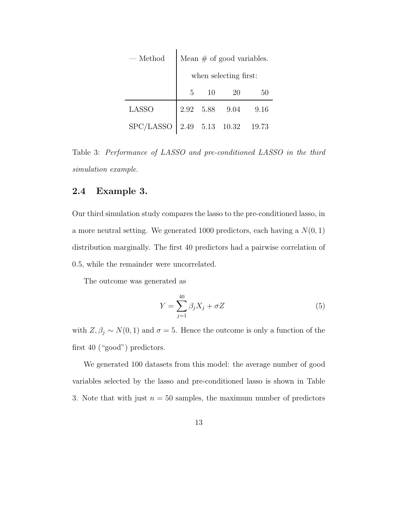| $-\mathop{\rm Method}$ | Mean $\#$ of good variables. |           |                 |       |  |  |
|------------------------|------------------------------|-----------|-----------------|-------|--|--|
|                        | when selecting first:        |           |                 |       |  |  |
|                        | 5                            | 10        | <b>20</b>       | 50    |  |  |
| <b>LASSO</b>           |                              | 2.92 5.88 | 9.04            | 9.16  |  |  |
| ${\rm SPC/LASSO}$      |                              |           | 2.49 5.13 10.32 | 19.73 |  |  |

Table 3: Performance of LASSO and pre-conditioned LASSO in the third simulation example.

#### 2.4 Example 3.

Our third simulation study compares the lasso to the pre-conditioned lasso, in a more neutral setting. We generated 1000 predictors, each having a  $N(0, 1)$ distribution marginally. The first 40 predictors had a pairwise correlation of 0.5, while the remainder were uncorrelated.

The outcome was generated as

$$
Y = \sum_{j=1}^{40} \beta_j X_j + \sigma Z \tag{5}
$$

with  $Z, \beta_j \sim N(0, 1)$  and  $\sigma = 5$ . Hence the outcome is only a function of the first 40 ("good") predictors.

We generated 100 datasets from this model: the average number of good variables selected by the lasso and pre-conditioned lasso is shown in Table 3. Note that with just  $n = 50$  samples, the maximum number of predictors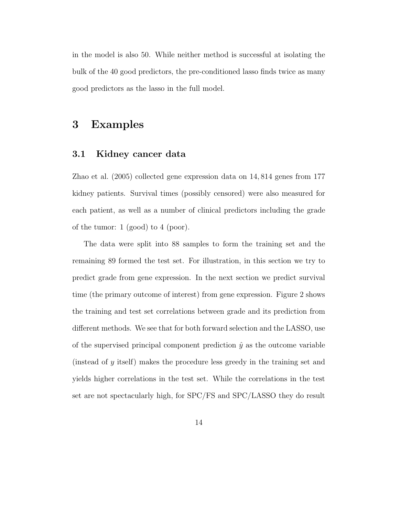in the model is also 50. While neither method is successful at isolating the bulk of the 40 good predictors, the pre-conditioned lasso finds twice as many good predictors as the lasso in the full model.

# 3 Examples

#### 3.1 Kidney cancer data

Zhao et al. (2005) collected gene expression data on 14, 814 genes from 177 kidney patients. Survival times (possibly censored) were also measured for each patient, as well as a number of clinical predictors including the grade of the tumor: 1 (good) to 4 (poor).

The data were split into 88 samples to form the training set and the remaining 89 formed the test set. For illustration, in this section we try to predict grade from gene expression. In the next section we predict survival time (the primary outcome of interest) from gene expression. Figure 2 shows the training and test set correlations between grade and its prediction from different methods. We see that for both forward selection and the LASSO, use of the supervised principal component prediction  $\hat{y}$  as the outcome variable (instead of y itself) makes the procedure less greedy in the training set and yields higher correlations in the test set. While the correlations in the test set are not spectacularly high, for SPC/FS and SPC/LASSO they do result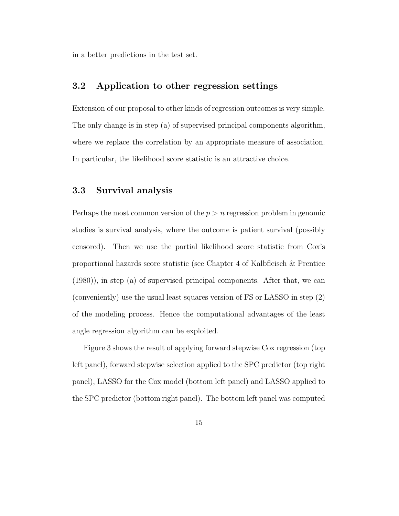in a better predictions in the test set.

#### 3.2 Application to other regression settings

Extension of our proposal to other kinds of regression outcomes is very simple. The only change is in step (a) of supervised principal components algorithm, where we replace the correlation by an appropriate measure of association. In particular, the likelihood score statistic is an attractive choice.

#### 3.3 Survival analysis

Perhaps the most common version of the  $p > n$  regression problem in genomic studies is survival analysis, where the outcome is patient survival (possibly censored). Then we use the partial likelihood score statistic from Cox's proportional hazards score statistic (see Chapter 4 of Kalbfleisch & Prentice (1980)), in step (a) of supervised principal components. After that, we can (conveniently) use the usual least squares version of FS or LASSO in step (2) of the modeling process. Hence the computational advantages of the least angle regression algorithm can be exploited.

Figure 3 shows the result of applying forward stepwise Cox regression (top left panel), forward stepwise selection applied to the SPC predictor (top right panel), LASSO for the Cox model (bottom left panel) and LASSO applied to the SPC predictor (bottom right panel). The bottom left panel was computed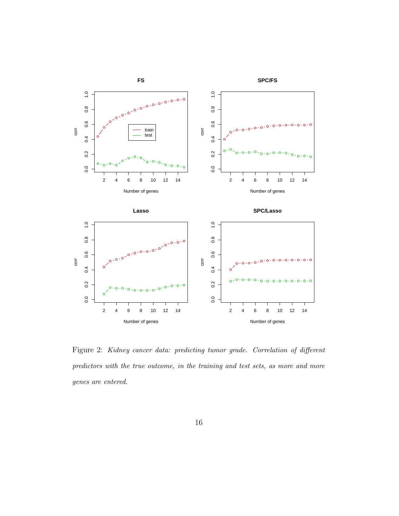

Figure 2: Kidney cancer data: predicting tumor grade. Correlation of different predictors with the true outcome, in the training and test sets, as more and more genes are entered.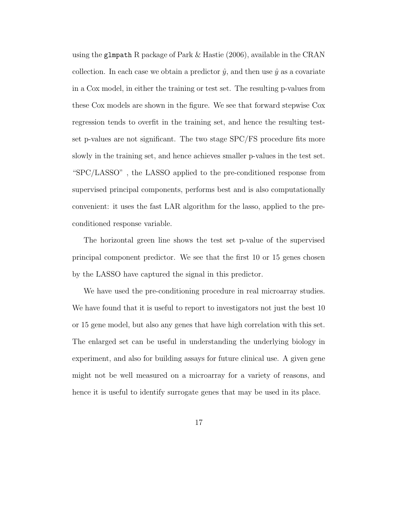using the glmpath R package of Park & Hastie (2006), available in the CRAN collection. In each case we obtain a predictor  $\hat{y}$ , and then use  $\hat{y}$  as a covariate in a Cox model, in either the training or test set. The resulting p-values from these Cox models are shown in the figure. We see that forward stepwise Cox regression tends to overfit in the training set, and hence the resulting testset p-values are not significant. The two stage SPC/FS procedure fits more slowly in the training set, and hence achieves smaller p-values in the test set. "SPC/LASSO" , the LASSO applied to the pre-conditioned response from supervised principal components, performs best and is also computationally convenient: it uses the fast LAR algorithm for the lasso, applied to the preconditioned response variable.

The horizontal green line shows the test set p-value of the supervised principal component predictor. We see that the first 10 or 15 genes chosen by the LASSO have captured the signal in this predictor.

We have used the pre-conditioning procedure in real microarray studies. We have found that it is useful to report to investigators not just the best 10 or 15 gene model, but also any genes that have high correlation with this set. The enlarged set can be useful in understanding the underlying biology in experiment, and also for building assays for future clinical use. A given gene might not be well measured on a microarray for a variety of reasons, and hence it is useful to identify surrogate genes that may be used in its place.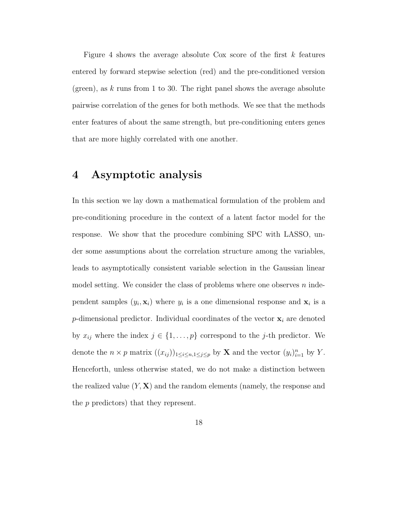Figure 4 shows the average absolute Cox score of the first  $k$  features entered by forward stepwise selection (red) and the pre-conditioned version (green), as  $k$  runs from 1 to 30. The right panel shows the average absolute pairwise correlation of the genes for both methods. We see that the methods enter features of about the same strength, but pre-conditioning enters genes that are more highly correlated with one another.

# 4 Asymptotic analysis

In this section we lay down a mathematical formulation of the problem and pre-conditioning procedure in the context of a latent factor model for the response. We show that the procedure combining SPC with LASSO, under some assumptions about the correlation structure among the variables, leads to asymptotically consistent variable selection in the Gaussian linear model setting. We consider the class of problems where one observes  $n$  independent samples  $(y_i, \mathbf{x}_i)$  where  $y_i$  is a one dimensional response and  $\mathbf{x}_i$  is a *p*-dimensional predictor. Individual coordinates of the vector  $\mathbf{x}_i$  are denoted by  $x_{ij}$  where the index  $j \in \{1, ..., p\}$  correspond to the j-th predictor. We denote the  $n \times p$  matrix  $((x_{ij}))_{1 \le i \le n, 1 \le j \le p}$  by **X** and the vector  $(y_i)_{i=1}^n$  by Y. Henceforth, unless otherwise stated, we do not make a distinction between the realized value  $(Y, X)$  and the random elements (namely, the response and the p predictors) that they represent.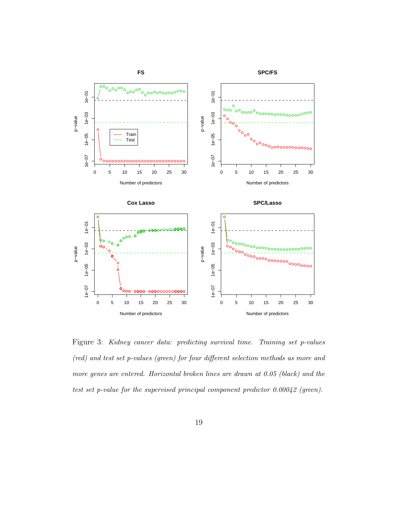

Figure 3: Kidney cancer data: predicting survival time. Training set p-values (red) and test set p-values (green) for four different selection methods as more and more genes are entered. Horizontal broken lines are drawn at 0.05 (black) and the test set p-value for the supervised principal component predictor 0.00042 (green).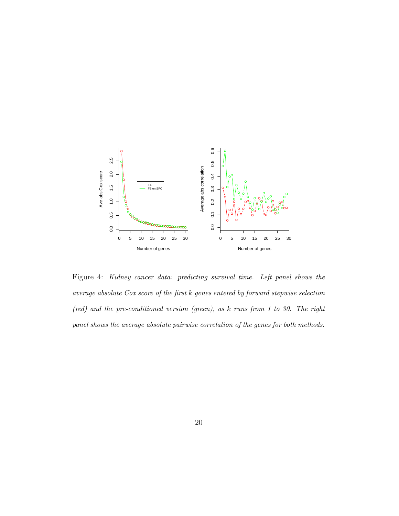

Figure 4: Kidney cancer data: predicting survival time. Left panel shows the average absolute Cox score of the first k genes entered by forward stepwise selection (red) and the pre-conditioned version (green), as k runs from 1 to 30. The right panel shows the average absolute pairwise correlation of the genes for both methods.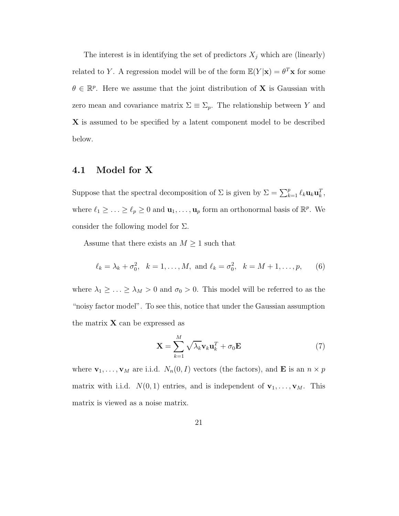The interest is in identifying the set of predictors  $X_j$  which are (linearly) related to Y. A regression model will be of the form  $\mathbb{E}(Y|\mathbf{x}) = \theta^T \mathbf{x}$  for some  $\theta \in \mathbb{R}^p$ . Here we assume that the joint distribution of **X** is Gaussian with zero mean and covariance matrix  $\Sigma \equiv \Sigma_p$ . The relationship between Y and X is assumed to be specified by a latent component model to be described below.

#### 4.1 Model for X

Suppose that the spectral decomposition of  $\Sigma$  is given by  $\Sigma = \sum_{k=1}^p \ell_k \mathbf{u}_k \mathbf{u}_k^T$ , where  $\ell_1 \geq \ldots \geq \ell_p \geq 0$  and  $\mathbf{u}_1, \ldots, \mathbf{u}_p$  form an orthonormal basis of  $\mathbb{R}^p$ . We consider the following model for  $\Sigma$ .

Assume that there exists an  $M \geq 1$  such that

$$
\ell_k = \lambda_k + \sigma_0^2
$$
,  $k = 1, ..., M$ , and  $\ell_k = \sigma_0^2$ ,  $k = M + 1, ..., p$ , (6)

where  $\lambda_1 \geq \ldots \geq \lambda_M > 0$  and  $\sigma_0 > 0$ . This model will be referred to as the "noisy factor model". To see this, notice that under the Gaussian assumption the matrix  $X$  can be expressed as

$$
\mathbf{X} = \sum_{k=1}^{M} \sqrt{\lambda_k} \mathbf{v}_k \mathbf{u}_k^T + \sigma_0 \mathbf{E}
$$
 (7)

where  $\mathbf{v}_1, \ldots, \mathbf{v}_M$  are i.i.d.  $N_n(0, I)$  vectors (the factors), and **E** is an  $n \times p$ matrix with i.i.d.  $N(0, 1)$  entries, and is independent of  $\mathbf{v}_1, \ldots, \mathbf{v}_M$ . This matrix is viewed as a noise matrix.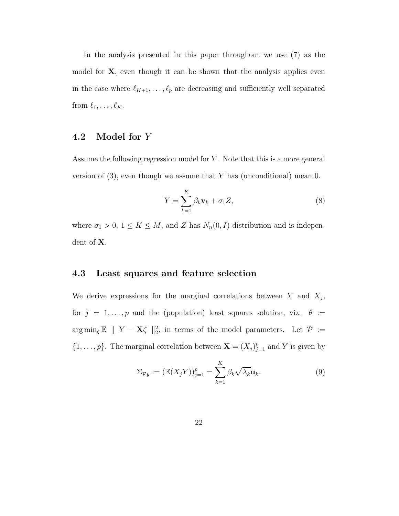In the analysis presented in this paper throughout we use (7) as the model for  $X$ , even though it can be shown that the analysis applies even in the case where  $\ell_{K+1}, \ldots, \ell_p$  are decreasing and sufficiently well separated from  $\ell_1, \ldots, \ell_K$ .

### 4.2 Model for Y

Assume the following regression model for  $Y$ . Note that this is a more general version of  $(3)$ , even though we assume that Y has (unconditional) mean 0.

$$
Y = \sum_{k=1}^{K} \beta_k \mathbf{v}_k + \sigma_1 Z,\tag{8}
$$

where  $\sigma_1 > 0$ ,  $1 \leq K \leq M$ , and Z has  $N_n(0, I)$  distribution and is independent of X.

#### 4.3 Least squares and feature selection

We derive expressions for the marginal correlations between  $Y$  and  $X_j$ , for  $j = 1, ..., p$  and the (population) least squares solution, viz.  $\theta :=$  $\arg \min_{\zeta} \mathbb{E} \parallel Y - \mathbf{X} \zeta \parallel_2^2$ , in terms of the model parameters. Let  $\mathcal{P} :=$  $\{1,\ldots,p\}$ . The marginal correlation between  $\mathbf{X} = (X_j)_{j=1}^p$  and Y is given by

$$
\Sigma_{\mathcal{P}y} := (\mathbb{E}(X_j Y))_{j=1}^p = \sum_{k=1}^K \beta_k \sqrt{\lambda_k} \mathbf{u}_k.
$$
 (9)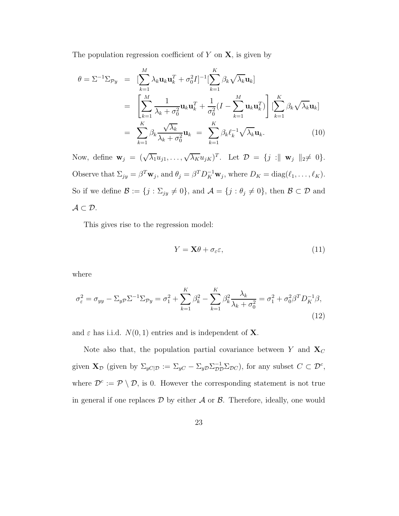The population regression coefficient of  $Y$  on  $X$ , is given by

$$
\theta = \Sigma^{-1} \Sigma_{\mathcal{P}y} = \left[ \sum_{k=1}^{M} \lambda_k \mathbf{u}_k \mathbf{u}_k^T + \sigma_0^2 I \right]^{-1} \left[ \sum_{k=1}^{K} \beta_k \sqrt{\lambda_k} \mathbf{u}_k \right]
$$
  
\n
$$
= \left[ \sum_{k=1}^{M} \frac{1}{\lambda_k + \sigma_0^2} \mathbf{u}_k \mathbf{u}_k^T + \frac{1}{\sigma_0^2} (I - \sum_{k=1}^{M} \mathbf{u}_k \mathbf{u}_k^T) \right] \left[ \sum_{k=1}^{K} \beta_k \sqrt{\lambda_k} \mathbf{u}_k \right]
$$
  
\n
$$
= \sum_{k=1}^{K} \beta_k \frac{\sqrt{\lambda_k}}{\lambda_k + \sigma_0^2} \mathbf{u}_k = \sum_{k=1}^{K} \beta_k \ell_k^{-1} \sqrt{\lambda_k} \mathbf{u}_k.
$$
 (10)

Now, define  $\mathbf{w}_j = (\sqrt{\lambda_1}u_{j1}, \dots, \sqrt{\lambda_K}u_{jK})^T$ . Let  $\mathcal{D} = \{j : \parallel \mathbf{w}_j \parallel_2 \neq 0\}$ . Observe that  $\Sigma_{jy} = \beta^T \mathbf{w}_j$ , and  $\theta_j = \beta^T D_K^{-1} \mathbf{w}_j$ , where  $D_K = \text{diag}(\ell_1, \dots, \ell_K)$ . So if we define  $\mathcal{B} := \{j : \Sigma_{jy} \neq 0\}$ , and  $\mathcal{A} = \{j : \theta_j \neq 0\}$ , then  $\mathcal{B} \subset \mathcal{D}$  and  $\mathcal{A} \subset \mathcal{D}$ .

This gives rise to the regression model:

$$
Y = \mathbf{X}\theta + \sigma_{\varepsilon}\varepsilon,\tag{11}
$$

where

$$
\sigma_{\varepsilon}^{2} = \sigma_{yy} - \Sigma_{y\mathcal{P}} \Sigma^{-1} \Sigma_{\mathcal{P}y} = \sigma_{1}^{2} + \sum_{k=1}^{K} \beta_{k}^{2} - \sum_{k=1}^{K} \beta_{k}^{2} \frac{\lambda_{k}}{\lambda_{k} + \sigma_{0}^{2}} = \sigma_{1}^{2} + \sigma_{0}^{2} \beta^{T} D_{K}^{-1} \beta,
$$
\n(12)

and  $\varepsilon$  has i.i.d.  $N(0, 1)$  entries and is independent of **X**.

Note also that, the population partial covariance between Y and  $\mathbf{X}_C$ given  $\mathbf{X}_{\mathcal{D}}$  (given by  $\Sigma_{yC|\mathcal{D}} := \Sigma_{yC} - \Sigma_{yD} \Sigma_{\mathcal{D}\mathcal{D}}^{-1} \Sigma_{\mathcal{D}C}$ ), for any subset  $C \subset \mathcal{D}^c$ , where  $\mathcal{D}^c := \mathcal{P} \setminus \mathcal{D}$ , is 0. However the corresponding statement is not true in general if one replaces  $\mathcal D$  by either  $\mathcal A$  or  $\mathcal B$ . Therefore, ideally, one would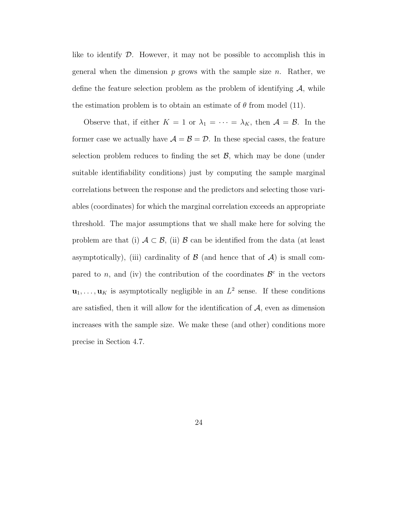like to identify  $\mathcal{D}$ . However, it may not be possible to accomplish this in general when the dimension  $p$  grows with the sample size  $n$ . Rather, we define the feature selection problem as the problem of identifying  $A$ , while the estimation problem is to obtain an estimate of  $\theta$  from model (11).

Observe that, if either  $K = 1$  or  $\lambda_1 = \cdots = \lambda_K$ , then  $\mathcal{A} = \mathcal{B}$ . In the former case we actually have  $A = B = D$ . In these special cases, the feature selection problem reduces to finding the set  $\mathcal{B}$ , which may be done (under suitable identifiability conditions) just by computing the sample marginal correlations between the response and the predictors and selecting those variables (coordinates) for which the marginal correlation exceeds an appropriate threshold. The major assumptions that we shall make here for solving the problem are that (i)  $A \subset \mathcal{B}$ , (ii)  $\mathcal{B}$  can be identified from the data (at least asymptotically), (iii) cardinality of  $\beta$  (and hence that of  $\mathcal{A}$ ) is small compared to *n*, and (iv) the contribution of the coordinates  $\mathcal{B}^c$  in the vectors  $\mathbf{u}_1, \ldots, \mathbf{u}_K$  is asymptotically negligible in an  $L^2$  sense. If these conditions are satisfied, then it will allow for the identification of  $A$ , even as dimension increases with the sample size. We make these (and other) conditions more precise in Section 4.7.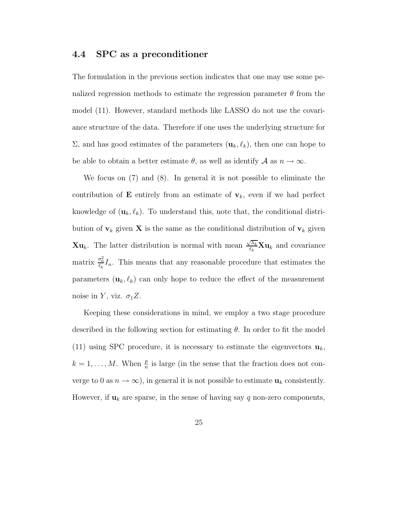#### 4.4 SPC as a preconditioner

The formulation in the previous section indicates that one may use some penalized regression methods to estimate the regression parameter  $\theta$  from the model (11). However, standard methods like LASSO do not use the covariance structure of the data. Therefore if one uses the underlying structure for  $\Sigma$ , and has good estimates of the parameters  $(\mathbf{u}_k, \ell_k)$ , then one can hope to be able to obtain a better estimate  $\theta$ , as well as identify  $\mathcal A$  as  $n \to \infty$ .

We focus on (7) and (8). In general it is not possible to eliminate the contribution of **E** entirely from an estimate of  $v_k$ , even if we had perfect knowledge of  $(\mathbf{u}_k, \ell_k)$ . To understand this, note that, the conditional distribution of  $v_k$  given **X** is the same as the conditional distribution of  $v_k$  given **Xu**<sub>k</sub>. The latter distribution is normal with mean  $\frac{\sqrt{\lambda_k}}{l_k}$  $\frac{\partial \lambda_k}{\partial k} \mathbf{X} \mathbf{u}_k$  and covariance matrix  $\frac{\sigma_0^2}{\ell_k}I_n$ . This means that any reasonable procedure that estimates the parameters  $(\mathbf{u}_k, \ell_k)$  can only hope to reduce the effect of the measurement noise in Y, viz.  $\sigma_1 Z$ .

Keeping these considerations in mind, we employ a two stage procedure described in the following section for estimating  $\theta$ . In order to fit the model (11) using SPC procedure, it is necessary to estimate the eigenvectors  $\mathbf{u}_k$ ,  $k = 1, \ldots, M$ . When  $\frac{p}{n}$  is large (in the sense that the fraction does not converge to 0 as  $n \to \infty$ ), in general it is not possible to estimate  $\mathbf{u}_k$  consistently. However, if  $\mathbf{u}_k$  are sparse, in the sense of having say q non-zero components,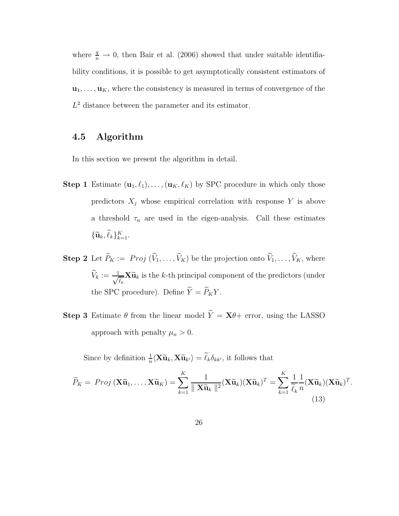where  $\frac{q}{n} \to 0$ , then Bair et al. (2006) showed that under suitable identifiability conditions, it is possible to get asymptotically consistent estimators of  $\mathbf{u}_1, \ldots, \mathbf{u}_K$ , where the consistency is measured in terms of convergence of the  $L^2$  distance between the parameter and its estimator.

## 4.5 Algorithm

In this section we present the algorithm in detail.

- **Step 1** Estimate  $(\mathbf{u}_1, \ell_1), \ldots, (\mathbf{u}_K, \ell_K)$  by SPC procedure in which only those predictors  $X_j$  whose empirical correlation with response Y is above a threshold  $\tau_n$  are used in the eigen-analysis. Call these estimates  $\{\widetilde{\mathbf{u}}_k, \widetilde{\ell}_k\}_{k=1}^K.$
- **Step 2** Let  $\widetilde{P}_K := Proj(\widehat{V}_1, ..., \widehat{V}_K)$  be the projection onto  $\widehat{V}_1, ..., \widehat{V}_K$ , where  $\widehat{V}_k := \frac{1}{\sqrt{2}}$  $\frac{1}{\widetilde{\ell}_k} \mathbf{X} \widetilde{\mathbf{u}}_k$  is the k-th principal component of the predictors (under the SPC procedure). Define  $\widetilde{Y} = \widetilde{P}_K Y$ .
- **Step 3** Estimate  $\theta$  from the linear model  $\widetilde{Y} = \mathbf{X}\theta +$  error, using the LASSO approach with penalty  $\mu_n > 0$ .

Since by definition  $\frac{1}{n}\langle \mathbf{X}\widetilde{\mathbf{u}}_k, \mathbf{X}\widetilde{\mathbf{u}}_{k'}\rangle = \widetilde{\ell}_k \delta_{kk'}$ , it follows that

$$
\widetilde{P}_K = Proj\left(\mathbf{X}\widetilde{\mathbf{u}}_1, \dots, \mathbf{X}\widetilde{\mathbf{u}}_K\right) = \sum_{k=1}^K \frac{1}{\|\mathbf{X}\widetilde{\mathbf{u}}_k\|^2} (\mathbf{X}\widetilde{\mathbf{u}}_k)(\mathbf{X}\widetilde{\mathbf{u}}_k)^T = \sum_{k=1}^K \frac{1}{\widetilde{\ell}_k} \frac{1}{n} (\mathbf{X}\widetilde{\mathbf{u}}_k)(\mathbf{X}\widetilde{\mathbf{u}}_k)^T.
$$
\n(13)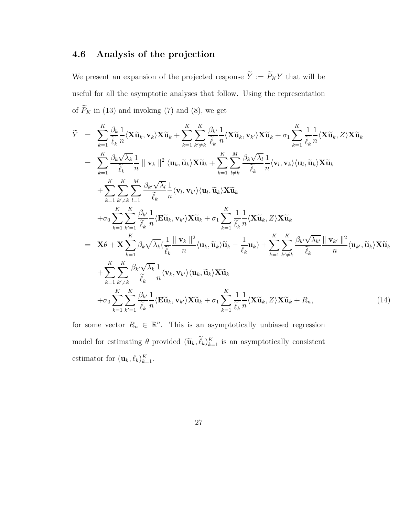### 4.6 Analysis of the projection

We present an expansion of the projected response  $\widetilde{Y}:=\widetilde{P}_KY$  that will be useful for all the asymptotic analyses that follow. Using the representation of  $\widetilde{P}_K$  in (13) and invoking (7) and (8), we get

$$
\widetilde{Y} = \sum_{k=1}^{K} \frac{\beta_k}{\widetilde{\ell}_k} \frac{1}{n} \langle \mathbf{X} \widetilde{\mathbf{u}}_k, \mathbf{v}_k \rangle \mathbf{X} \widetilde{\mathbf{u}}_k + \sum_{k=1}^{K} \sum_{k' \neq k}^{K} \frac{\beta_{k'}}{\widetilde{\ell}_k} \frac{1}{n} \langle \mathbf{X} \widetilde{\mathbf{u}}_k, \mathbf{v}_{k'} \rangle \mathbf{X} \widetilde{\mathbf{u}}_k + \sigma_1 \sum_{k=1}^{K} \frac{1}{\widetilde{\ell}_k} \frac{1}{n} \langle \mathbf{X} \widetilde{\mathbf{u}}_k, Z \rangle \mathbf{X} \widetilde{\mathbf{u}}_k
$$
\n
$$
= \sum_{k=1}^{K} \frac{\beta_k \sqrt{\lambda_k}}{\widetilde{\ell}_k} \frac{1}{n} \|\mathbf{v}_k\|^2 \langle \mathbf{u}_k, \widetilde{\mathbf{u}}_k \rangle \mathbf{X} \widetilde{\mathbf{u}}_k + \sum_{k=1}^{K} \sum_{l \neq k}^{M} \frac{\beta_k \sqrt{\lambda_l}}{\widetilde{\ell}_k} \frac{1}{n} \langle \mathbf{v}_l, \mathbf{v}_k \rangle \langle \mathbf{u}_l, \widetilde{\mathbf{u}}_k \rangle \mathbf{X} \widetilde{\mathbf{u}}_k + \sum_{k=1}^{K} \sum_{k' \neq k}^{K} \frac{\beta_{k'}}{l=1} \frac{\beta_{k'} \sqrt{\lambda_l}}{\widetilde{\ell}_k} \frac{1}{n} \langle \mathbf{v}_l, \mathbf{v}_{k'} \rangle \langle \mathbf{u}_l, \widetilde{\mathbf{u}}_k \rangle \mathbf{X} \widetilde{\mathbf{u}}_k + \sigma_1 \sum_{k=1}^{K} \sum_{k' \neq k}^{K} \frac{1}{n} \langle \mathbf{X} \widetilde{\mathbf{u}}_k, Z \rangle \mathbf{X} \widetilde{\mathbf{u}}_k
$$
\n
$$
= \mathbf{X} \theta + \mathbf{X} \sum_{k=1}^{K} \beta_k \sqrt{\lambda_k} (\frac{1}{\widetilde{\ell}_k} \frac{\|\mathbf{v}_k\|^2}{n} \langle \mathbf{u
$$

for some vector  $R_n \in \mathbb{R}^n$ . This is an asymptotically unbiased regression model for estimating  $\theta$  provided  $(\tilde{\mathbf{u}}_k, \ell_k)_{k=1}^K$  is an asymptotically consistent estimator for  $(\mathbf{u}_k, \ell_k)_{k=1}^K$ .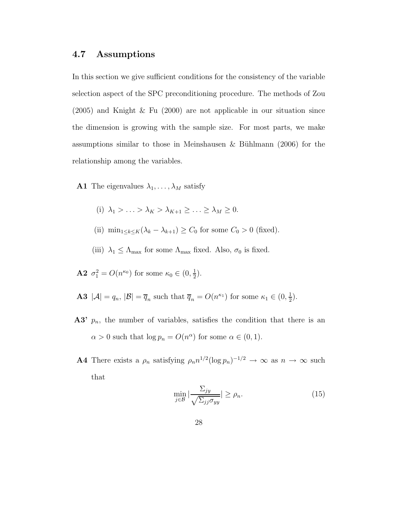#### 4.7 Assumptions

In this section we give sufficient conditions for the consistency of the variable selection aspect of the SPC preconditioning procedure. The methods of Zou (2005) and Knight & Fu (2000) are not applicable in our situation since the dimension is growing with the sample size. For most parts, we make assumptions similar to those in Meinshausen & Bühlmann  $(2006)$  for the relationship among the variables.

- **A1** The eigenvalues  $\lambda_1, \ldots, \lambda_M$  satisfy
	- (i)  $\lambda_1 > \ldots > \lambda_K > \lambda_{K+1} > \ldots > \lambda_M > 0.$
	- (ii)  $\min_{1 \leq k \leq K} (\lambda_k \lambda_{k+1}) \geq C_0$  for some  $C_0 > 0$  (fixed).
	- (iii)  $\lambda_1 \leq \Lambda_{\text{max}}$  for some  $\Lambda_{\text{max}}$  fixed. Also,  $\sigma_0$  is fixed.
- **A2**  $\sigma_1^2 = O(n^{\kappa_0})$  for some  $\kappa_0 \in (0, \frac{1}{2})$  $(\frac{1}{2})$ .
- **A3**  $|\mathcal{A}| = q_n$ ,  $|\mathcal{B}| = \overline{q}_n$  such that  $\overline{q}_n = O(n^{\kappa_1})$  for some  $\kappa_1 \in (0, \frac{1}{2})$  $(\frac{1}{2})$ .
- A3'  $p_n$ , the number of variables, satisfies the condition that there is an  $\alpha > 0$  such that  $\log p_n = O(n^{\alpha})$  for some  $\alpha \in (0, 1)$ .
- **A4** There exists a  $\rho_n$  satisfying  $\rho_n n^{1/2} (\log p_n)^{-1/2} \to \infty$  as  $n \to \infty$  such that

$$
\min_{j \in \mathcal{B}} \left| \frac{\Sigma_{jy}}{\sqrt{\Sigma_{jj} \sigma_{yy}}} \right| \ge \rho_n. \tag{15}
$$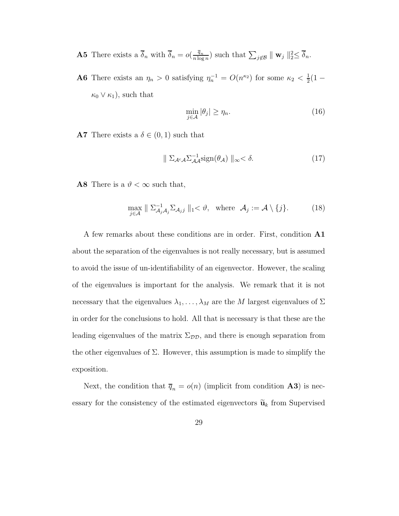- **A5** There exists a  $\overline{\delta}_n$  with  $\overline{\delta}_n = o(\frac{\overline{q}_n}{n \log n})$  $\frac{\overline{q}_n}{n \log n}$  such that  $\sum_{j \notin \mathcal{B}} || \mathbf{w}_j ||_2^2 \leq \overline{\delta}_n$ .
- **A6** There exists an  $\eta_n > 0$  satisfying  $\eta_n^{-1} = O(n^{\kappa_2})$  for some  $\kappa_2 < \frac{1}{2}$  $rac{1}{2}(1 \kappa_0 \vee \kappa_1$ , such that

$$
\min_{j \in \mathcal{A}} |\theta_j| \ge \eta_n. \tag{16}
$$

**A7** There exists a  $\delta \in (0, 1)$  such that

$$
\|\sum_{\mathcal{A}^c \mathcal{A}} \sum_{\mathcal{A}}^{-1} \text{sign}(\theta_{\mathcal{A}})\|_{\infty} < \delta. \tag{17}
$$

**A8** There is a  $\vartheta < \infty$  such that,

$$
\max_{j \in \mathcal{A}} \parallel \Sigma_{\mathcal{A}_j \mathcal{A}_j}^{-1} \Sigma_{\mathcal{A}_j j} \parallel_1 < \vartheta, \text{ where } \mathcal{A}_j := \mathcal{A} \setminus \{j\}. \tag{18}
$$

A few remarks about these conditions are in order. First, condition A1 about the separation of the eigenvalues is not really necessary, but is assumed to avoid the issue of un-identifiability of an eigenvector. However, the scaling of the eigenvalues is important for the analysis. We remark that it is not necessary that the eigenvalues  $\lambda_1, \ldots, \lambda_M$  are the M largest eigenvalues of  $\Sigma$ in order for the conclusions to hold. All that is necessary is that these are the leading eigenvalues of the matrix  $\Sigma_{\mathcal{DD}}$ , and there is enough separation from the other eigenvalues of  $\Sigma$ . However, this assumption is made to simplify the exposition.

Next, the condition that  $\overline{q}_n = o(n)$  (implicit from condition **A3**) is necessary for the consistency of the estimated eigenvectors  $\widetilde{\mathbf{u}}_k$  from Supervised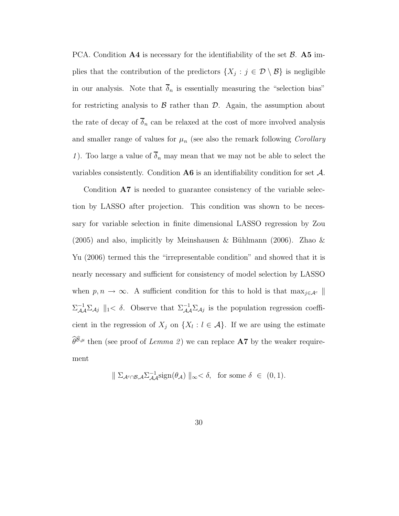PCA. Condition  $\mathbf{A4}$  is necessary for the identifiability of the set  $\mathcal{B}$ .  $\mathbf{A5}$  implies that the contribution of the predictors  $\{X_j : j \in \mathcal{D} \setminus \mathcal{B}\}\$ is negligible in our analysis. Note that  $\overline{\delta}_n$  is essentially measuring the "selection bias" for restricting analysis to  $\beta$  rather than  $\mathcal{D}$ . Again, the assumption about the rate of decay of  $\overline{\delta}_n$  can be relaxed at the cost of more involved analysis and smaller range of values for  $\mu_n$  (see also the remark following *Corollary* 1). Too large a value of  $\overline{\delta}_n$  may mean that we may not be able to select the variables consistently. Condition  $\mathbf{A6}$  is an identifiability condition for set  $\mathcal{A}$ .

Condition A7 is needed to guarantee consistency of the variable selection by LASSO after projection. This condition was shown to be necessary for variable selection in finite dimensional LASSO regression by Zou  $(2005)$  and also, implicitly by Meinshausen & Bühlmann  $(2006)$ . Zhao & Yu (2006) termed this the "irrepresentable condition" and showed that it is nearly necessary and sufficient for consistency of model selection by LASSO when  $p, n \to \infty$ . A sufficient condition for this to hold is that  $\max_{j \in A^c} \|$  $\Sigma_{\mathcal{A}\mathcal{A}}^{-1}\Sigma_{\mathcal{A}j}$  ||1<  $\delta$ . Observe that  $\Sigma_{\mathcal{A}\mathcal{A}}^{-1}\Sigma_{\mathcal{A}j}$  is the population regression coefficient in the regression of  $X_j$  on  $\{X_l : l \in \mathcal{A}\}\$ . If we are using the estimate  $\widehat{\theta}^{\widehat{\mathcal{B}},\mu}$  then (see proof of Lemma 2) we can replace **A7** by the weaker requirement

$$
\|\sum_{\mathcal{A}^c \cap \mathcal{B}, \mathcal{A}} \sum_{\mathcal{A}}^{-1} \text{sign}(\theta_{\mathcal{A}})\|_{\infty} < \delta, \text{ for some } \delta \in (0, 1).
$$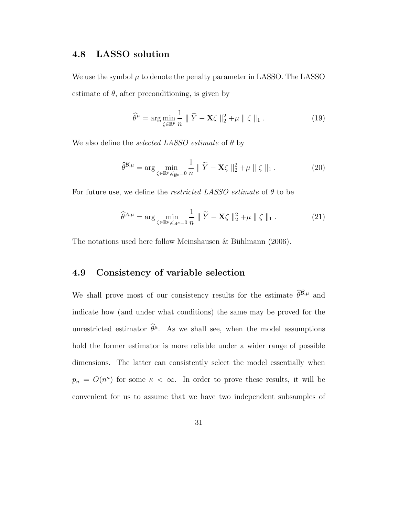#### 4.8 LASSO solution

We use the symbol  $\mu$  to denote the penalty parameter in LASSO. The LASSO estimate of  $\theta$ , after preconditioning, is given by

$$
\widehat{\theta}^{\mu} = \arg\min_{\zeta \in \mathbb{R}^p} \frac{1}{n} \parallel \widetilde{Y} - \mathbf{X}\zeta \parallel_2^2 + \mu \parallel \zeta \parallel_1. \tag{19}
$$

We also define the *selected LASSO* estimate of  $\theta$  by

$$
\widehat{\theta}^{\widehat{\mathcal{B}},\mu} = \arg\min_{\zeta \in \mathbb{R}^p, \zeta_{\widehat{\mathcal{B}}^c} = 0} \frac{1}{n} \parallel \widetilde{Y} - \mathbf{X}\zeta \parallel_2^2 + \mu \parallel \zeta \parallel_1. \tag{20}
$$

For future use, we define the *restricted LASSO* estimate of  $\theta$  to be

$$
\widehat{\theta}^{\mathcal{A},\mu} = \arg\min_{\zeta \in \mathbb{R}^p, \zeta_{\mathcal{A}^c} = 0} \frac{1}{n} \parallel \widetilde{Y} - \mathbf{X}\zeta \parallel_2^2 + \mu \parallel \zeta \parallel_1. \tag{21}
$$

The notations used here follow Meinshausen  $& B\ddot{u}$ hlmann (2006).

## 4.9 Consistency of variable selection

We shall prove most of our consistency results for the estimate  $\hat{\theta}^{\hat{B},\mu}$  and indicate how (and under what conditions) the same may be proved for the unrestricted estimator  $\hat{\theta}^{\mu}$ . As we shall see, when the model assumptions hold the former estimator is more reliable under a wider range of possible dimensions. The latter can consistently select the model essentially when  $p_n = O(n^{\kappa})$  for some  $\kappa < \infty$ . In order to prove these results, it will be convenient for us to assume that we have two independent subsamples of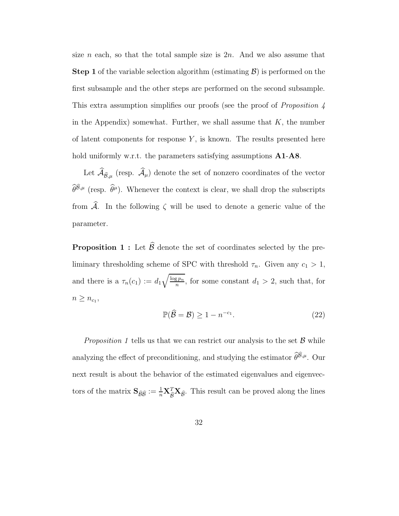size n each, so that the total sample size is  $2n$ . And we also assume that **Step 1** of the variable selection algorithm (estimating  $\mathcal{B}$ ) is performed on the first subsample and the other steps are performed on the second subsample. This extra assumption simplifies our proofs (see the proof of *Proposition 4* in the Appendix) somewhat. Further, we shall assume that  $K$ , the number of latent components for response  $Y$ , is known. The results presented here hold uniformly w.r.t. the parameters satisfying assumptions  $A1-A8$ .

Let  $\mathcal{A}_{\widehat{\mathcal{B}},\mu}$  (resp.  $\mathcal{A}_{\mu}$ ) denote the set of nonzero coordinates of the vector  $\widehat{\theta}^{\widehat{\mathcal{B}},\mu}$  (resp.  $\widehat{\theta}^{\mu}$ ). Whenever the context is clear, we shall drop the subscripts from  $\widehat{\mathcal{A}}$ . In the following  $\zeta$  will be used to denote a generic value of the parameter.

**Proposition 1 :** Let  $\widehat{\mathcal{B}}$  denote the set of coordinates selected by the preliminary thresholding scheme of SPC with threshold  $\tau_n$ . Given any  $c_1 > 1$ , and there is a  $\tau_n(c_1) := d_1 \sqrt{\frac{\log p_n}{n}}$  $\frac{\mathfrak{F}^{\mathfrak{p}_n}}{n}$ , for some constant  $d_1 > 2$ , such that, for  $n \geq n_{c_1},$ 

$$
\mathbb{P}(\widehat{\mathcal{B}} = \mathcal{B}) \ge 1 - n^{-c_1}.\tag{22}
$$

*Proposition 1* tells us that we can restrict our analysis to the set  $\beta$  while analyzing the effect of preconditioning, and studying the estimator  $\widehat{\theta}^{\widehat{\mathcal{B}},\mu}$ . Our next result is about the behavior of the estimated eigenvalues and eigenvectors of the matrix  $S_{\hat{\beta}\hat{\beta}} := \frac{1}{n} \mathbf{X}_{\hat{\beta}}^T \mathbf{X}_{\hat{\beta}}$ . This result can be proved along the lines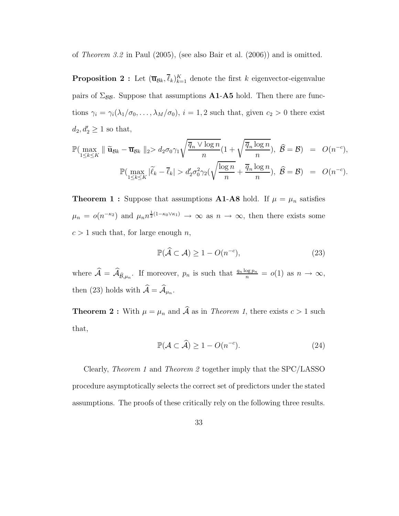of Theorem 3.2 in Paul (2005), (see also Bair et al. (2006)) and is omitted.

**Proposition 2**: Let  $(\overline{\mathbf{u}}_{\mathcal{B}k}, \overline{\ell}_k)_{k=1}^K$  denote the first k eigenvector-eigenvalue pairs of  $\Sigma_{\beta\beta}$ . Suppose that assumptions **A1-A5** hold. Then there are functions  $\gamma_i = \gamma_i(\lambda_1/\sigma_0, \dots, \lambda_M/\sigma_0)$ ,  $i = 1, 2$  such that, given  $c_2 > 0$  there exist  $d_2, d'_2 \geq 1$  so that,

$$
\mathbb{P}(\max_{1 \leq k \leq K} \|\widetilde{\mathbf{u}}_{\mathcal{B}k} - \overline{\mathbf{u}}_{\mathcal{B}k}\|_2 > d_2 \sigma_0 \gamma_1 \sqrt{\frac{\overline{q}_n \vee \log n}{n}} (1 + \sqrt{\frac{\overline{q}_n \log n}{n}}), \ \widehat{\mathcal{B}} = \mathcal{B}) = O(n^{-c}),
$$
  

$$
\mathbb{P}(\max_{1 \leq k \leq K} |\widetilde{\ell}_k - \overline{\ell}_k| > d'_2 \sigma_0^2 \gamma_2 (\sqrt{\frac{\log n}{n}} + \frac{\overline{q}_n \log n}{n}), \ \widehat{\mathcal{B}} = \mathcal{B}) = O(n^{-c}).
$$

**Theorem 1 :** Suppose that assumptions **A1-A8** hold. If  $\mu = \mu_n$  satisfies  $\mu_n = o(n^{-\kappa_2})$  and  $\mu_n n^{\frac{1}{2}(1-\kappa_0 \vee \kappa_1)} \to \infty$  as  $n \to \infty$ , then there exists some  $c > 1$  such that, for large enough n,

$$
\mathbb{P}(\hat{\mathcal{A}} \subset \mathcal{A}) \ge 1 - O(n^{-c}),\tag{23}
$$

where  $\widehat{\mathcal{A}} = \widehat{\mathcal{A}}_{\widehat{\mathcal{B}},\mu_n}$ . If moreover,  $p_n$  is such that  $\frac{q_n \log p_n}{n} = o(1)$  as  $n \to \infty$ , then (23) holds with  $\mathcal{A} = \mathcal{A}_{\mu_n}$ .

**Theorem 2**: With  $\mu = \mu_n$  and  $\widehat{A}$  as in *Theorem 1*, there exists  $c > 1$  such that,

$$
\mathbb{P}(\mathcal{A} \subset \widehat{\mathcal{A}}) \ge 1 - O(n^{-c}).\tag{24}
$$

Clearly, Theorem 1 and Theorem 2 together imply that the SPC/LASSO procedure asymptotically selects the correct set of predictors under the stated assumptions. The proofs of these critically rely on the following three results.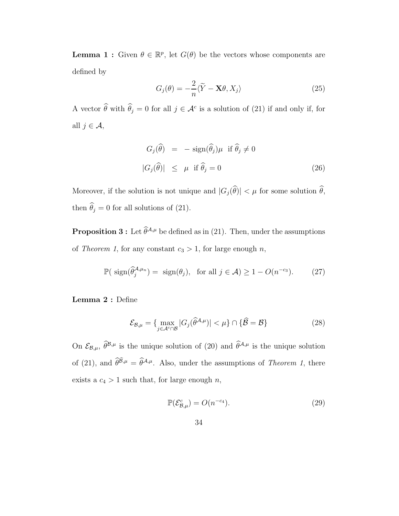**Lemma 1 :** Given  $\theta \in \mathbb{R}^p$ , let  $G(\theta)$  be the vectors whose components are defined by

$$
G_j(\theta) = -\frac{2}{n}\langle \tilde{Y} - \mathbf{X}\theta, X_j \rangle
$$
 (25)

A vector  $\hat{\theta}$  with  $\hat{\theta}_j = 0$  for all  $j \in \mathcal{A}^c$  is a solution of (21) if and only if, for all  $j \in \mathcal{A}$ ,

$$
G_j(\hat{\theta}) = -\operatorname{sign}(\hat{\theta}_j)\mu \text{ if } \hat{\theta}_j \neq 0
$$
  

$$
|G_j(\hat{\theta})| \leq \mu \text{ if } \hat{\theta}_j = 0
$$
 (26)

Moreover, if the solution is not unique and  $|G_j(\widehat{\theta})| < \mu$  for some solution  $\widehat{\theta}$ , then  $\theta_j = 0$  for all solutions of (21).

**Proposition 3 :** Let  $\widehat{\theta}^{\mathcal{A},\mu}$  be defined as in (21). Then, under the assumptions of Theorem 1, for any constant  $c_3 > 1$ , for large enough n,

$$
\mathbb{P}(\text{sign}(\widehat{\theta}_j^{A,\mu_n}) = \text{sign}(\theta_j), \text{ for all } j \in \mathcal{A}) \ge 1 - O(n^{-c_3}).\tag{27}
$$

Lemma 2 : Define

$$
\mathcal{E}_{\mathcal{B},\mu} = \{ \max_{j \in \mathcal{A}^c \cap \mathcal{B}} |G_j(\widehat{\theta}^{\mathcal{A},\mu})| < \mu \} \cap \{ \widehat{\mathcal{B}} = \mathcal{B} \} \tag{28}
$$

On  $\mathcal{E}_{\mathcal{B},\mu}$ ,  $\widehat{\theta}^{\mathcal{B},\mu}$  is the unique solution of (20) and  $\widehat{\theta}^{\mathcal{A},\mu}$  is the unique solution of (21), and  $\hat{\theta}^{\hat{\mathcal{B}},\mu} = \hat{\theta}^{\mathcal{A},\mu}$ . Also, under the assumptions of Theorem 1, there exists a  $c_4 > 1$  such that, for large enough  $n$ ,

$$
\mathbb{P}(\mathcal{E}_{\mathcal{B},\mu}^{c}) = O(n^{-c_4}).\tag{29}
$$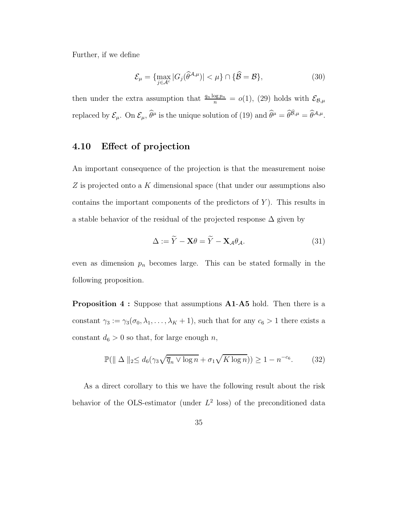Further, if we define

$$
\mathcal{E}_{\mu} = \{ \max_{j \in \mathcal{A}^c} |G_j(\widehat{\theta}^{\mathcal{A}, \mu})| < \mu \} \cap \{ \widehat{\mathcal{B}} = \mathcal{B} \},\tag{30}
$$

then under the extra assumption that  $\frac{q_n \log p_n}{n} = o(1)$ , (29) holds with  $\mathcal{E}_{\mathcal{B},\mu}$ replaced by  $\mathcal{E}_{\mu}$ . On  $\mathcal{E}_{\mu}$ ,  $\widehat{\theta}^{\mu}$  is the unique solution of (19) and  $\widehat{\theta}^{\mu} = \widehat{\theta}^{\widehat{\beta},\mu} = \widehat{\theta}^{\mathcal{A},\mu}$ .

### 4.10 Effect of projection

An important consequence of the projection is that the measurement noise Z is projected onto a K dimensional space (that under our assumptions also contains the important components of the predictors of  $Y$ ). This results in a stable behavior of the residual of the projected response  $\Delta$  given by

$$
\Delta := \widetilde{Y} - \mathbf{X}\theta = \widetilde{Y} - \mathbf{X}_{\mathcal{A}}\theta_{\mathcal{A}}.\tag{31}
$$

even as dimension  $p_n$  becomes large. This can be stated formally in the following proposition.

Proposition 4 : Suppose that assumptions A1-A5 hold. Then there is a constant  $\gamma_3 := \gamma_3(\sigma_0, \lambda_1, \dots, \lambda_K + 1)$ , such that for any  $c_6 > 1$  there exists a constant  $d_6 > 0$  so that, for large enough n,

$$
\mathbb{P}(\|\Delta\|_2 \le d_6(\gamma_3\sqrt{\overline{q}_n \vee \log n} + \sigma_1\sqrt{K\log n})) \ge 1 - n^{-c_6}.\tag{32}
$$

As a direct corollary to this we have the following result about the risk behavior of the OLS-estimator (under  $L^2$  loss) of the preconditioned data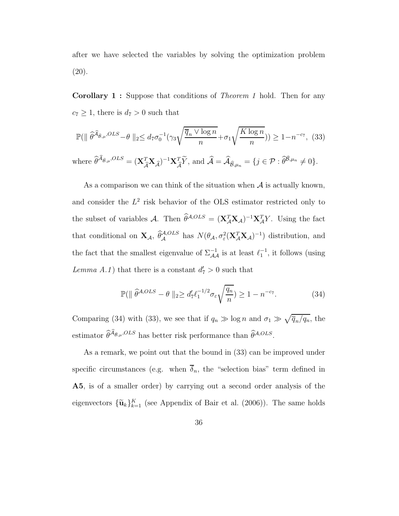after we have selected the variables by solving the optimization problem (20).

Corollary 1 : Suppose that conditions of Theorem 1 hold. Then for any  $c_7 \geq 1,$  there is  $d_7 > 0$  such that

$$
\mathbb{P}(\|\widehat{\theta}^{\widehat{A}_{\widehat{\mathcal{B}},\mu},OLS} - \theta\|_2 \leq d_7 \sigma_0^{-1} (\gamma_3 \sqrt{\frac{\overline{q}_n \vee \log n}{n}} + \sigma_1 \sqrt{\frac{K \log n}{n}})) \geq 1 - n^{-c_7}, (33)
$$

where  $\widehat{\theta}^{\widehat{\mathcal{A}}_{\widehat{\mathcal{B}},\mu},OLS} = (\mathbf{X}_{\widehat{\mathcal{A}}}^T \mathbf{X}_{\widehat{\mathcal{A}}})^{-1} \mathbf{X}_{\widehat{\mathcal{A}}}^T \widetilde{Y}, \text{ and } \widehat{\mathcal{A}} = \widehat{\mathcal{A}}_{\widehat{\mathcal{B}},\mu_n} = \{j \in \mathcal{P} : \widehat{\theta}^{\widehat{\mathcal{B}},\mu_n} \neq 0\}.$ 

As a comparison we can think of the situation when  $A$  is actually known, and consider the  $L^2$  risk behavior of the OLS estimator restricted only to the subset of variables A. Then  $\theta^{A,OLS} = (\mathbf{X}_{\mathcal{A}}^T \mathbf{X}_{\mathcal{A}})^{-1} \mathbf{X}_{\mathcal{A}}^T Y$ . Using the fact that conditional on  $X_{\mathcal{A}}, \ \hat{\theta}_{\mathcal{A}}^{A,OLS}$  has  $N(\theta_{\mathcal{A}}, \sigma_{\varepsilon}^2(\mathbf{X}_{\mathcal{A}}^T\mathbf{X}_{\mathcal{A}})^{-1})$  distribution, and the fact that the smallest eigenvalue of  $\Sigma_{\mathcal{A}\mathcal{A}}^{-1}$  is at least  $\ell_1^{-1}$ , it follows (using Lemma A.1) that there is a constant  $d'_7 > 0$  such that

$$
\mathbb{P}(\|\widehat{\theta}^{A,OLS} - \theta\|_2 \ge d_7' \ell_1^{-1/2} \sigma_\varepsilon \sqrt{\frac{q_n}{n}}) \ge 1 - n^{-c_7}.\tag{34}
$$

Comparing (34) with (33), we see that if  $q_n \gg \log n$  and  $\sigma_1 \gg \sqrt{\overline{q}_n/q_n}$ , the estimator  $\widehat{\theta}^{\widehat{\mathcal{A}}_{\widehat{\mathcal{B}},\mu},OLS}$  has better risk performance than  $\widehat{\theta}^{\mathcal{A},OLS}$ .

As a remark, we point out that the bound in (33) can be improved under specific circumstances (e.g. when  $\overline{\delta}_n$ , the "selection bias" term defined in A5, is of a smaller order) by carrying out a second order analysis of the eigenvectors  ${\{\tilde{\mathbf{u}}_k\}_{k=1}^K}$  (see Appendix of Bair et al. (2006)). The same holds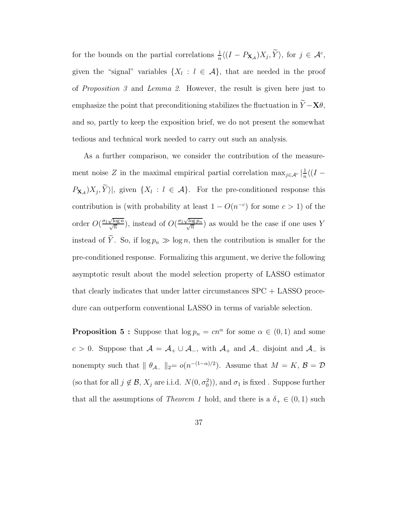for the bounds on the partial correlations  $\frac{1}{n}\langle (I - P_{\mathbf{X}_{\mathcal{A}}})X_j, \tilde{Y} \rangle$ , for  $j \in \mathcal{A}^c$ , given the "signal" variables  $\{X_l : l \in \mathcal{A}\}\$ , that are needed in the proof of Proposition 3 and Lemma 2. However, the result is given here just to emphasize the point that preconditioning stabilizes the fluctuation in  $\widetilde{Y}-\mathbf{X}\theta,$ and so, partly to keep the exposition brief, we do not present the somewhat tedious and technical work needed to carry out such an analysis.

As a further comparison, we consider the contribution of the measurement noise Z in the maximal empirical partial correlation  $\max_{j \in \mathcal{A}^c} |\frac{1}{n}$  $\frac{1}{n}\langle (I P_{\mathbf{X}_{\mathcal{A}}}|X_j, Y\rangle$ , given  $\{X_l : l \in \mathcal{A}\}\$ . For the pre-conditioned response this contribution is (with probability at least  $1 - O(n^{-c})$  for some  $c > 1$ ) of the order  $O(\frac{\sigma_1 \sqrt{\log n}}{\sqrt{n}})$ , instead of  $O(\frac{\sigma_1 \sqrt{\log n}}{\sqrt{n}})$  $\frac{\sqrt{\log p_n}}{\sqrt{n}}$  $\frac{\log p_n}{n}$  as would be the case if one uses Y instead of  $\widetilde{Y}$ . So, if  $\log p_n \gg \log n$ , then the contribution is smaller for the pre-conditioned response. Formalizing this argument, we derive the following asymptotic result about the model selection property of LASSO estimator that clearly indicates that under latter circumstances SPC + LASSO procedure can outperform conventional LASSO in terms of variable selection.

**Proposition 5 :** Suppose that  $\log p_n = cn^{\alpha}$  for some  $\alpha \in (0, 1)$  and some c > 0. Suppose that  $A = A_+ \cup A_-,$  with  $A_+$  and  $A_-$  disjoint and  $A_-$  is nonempty such that  $|| \theta_{A_{-}} ||_2 = o(n^{-(1-\alpha)/2})$ . Assume that  $M = K$ ,  $\mathcal{B} = \mathcal{D}$ (so that for all  $j \notin \mathcal{B}$ ,  $X_j$  are i.i.d.  $N(0, \sigma_0^2)$ ), and  $\sigma_1$  is fixed. Suppose further that all the assumptions of *Theorem 1* hold, and there is a  $\delta_+ \in (0,1)$  such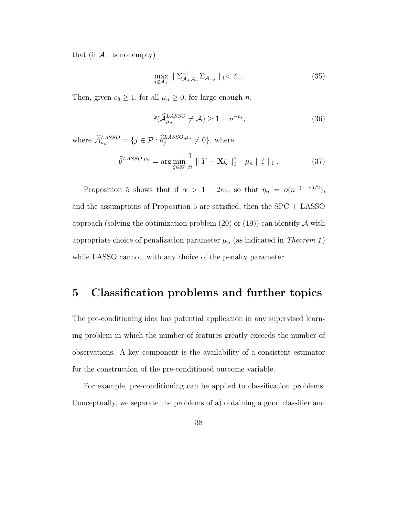that (if  $\mathcal{A}_+$  is nonempty)

$$
\max_{j \notin \mathcal{A}_+} \parallel \Sigma_{\mathcal{A}_+ \mathcal{A}_+}^{-1} \Sigma_{\mathcal{A}_+ j} \parallel_1 < \delta_+.
$$
 (35)

Then, given  $c_8 \ge 1$ , for all  $\mu_n \ge 0$ , for large enough n,

$$
\mathbb{P}(\hat{\mathcal{A}}_{\mu_n}^{LASSO} \neq \mathcal{A}) \ge 1 - n^{-c_8},\tag{36}
$$

where  $\widehat{\mathcal{A}}_{\mu_n}^{LASSO} = \{ j \in \mathcal{P} : \widehat{\theta}_j^{LASSO,\mu_n} \neq 0 \}$ , where

$$
\widehat{\theta}^{LASSO,\mu_n} = \arg\min_{\zeta \in \mathbb{R}^p} \frac{1}{n} \| Y - \mathbf{X}\zeta \|_2^2 + \mu_n \| \zeta \|_1. \tag{37}
$$

Proposition 5 shows that if  $\alpha > 1 - 2\kappa_2$ , so that  $\eta_n = o(n^{-(1-\alpha)/2})$ , and the assumptions of Proposition 5 are satisfied, then the SPC + LASSO approach (solving the optimization problem  $(20)$  or  $(19)$ ) can identify A with appropriate choice of penalization parameter  $\mu_n$  (as indicated in Theorem 1) while LASSO cannot, with any choice of the penalty parameter.

# 5 Classification problems and further topics

The pre-conditioning idea has potential application in any supervised learning problem in which the number of features greatly exceeds the number of observations. A key component is the availability of a consistent estimator for the construction of the pre-conditioned outcome variable.

For example, pre-conditioning can be applied to classification problems. Conceptually, we separate the problems of a) obtaining a good classifier and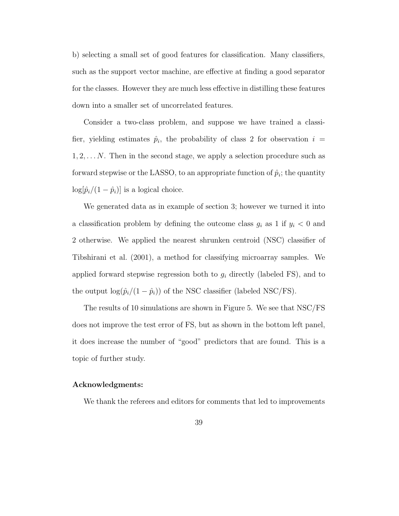b) selecting a small set of good features for classification. Many classifiers, such as the support vector machine, are effective at finding a good separator for the classes. However they are much less effective in distilling these features down into a smaller set of uncorrelated features.

Consider a two-class problem, and suppose we have trained a classifier, yielding estimates  $\hat{p}_i$ , the probability of class 2 for observation  $i =$  $1, 2, \ldots N$ . Then in the second stage, we apply a selection procedure such as forward stepwise or the LASSO, to an appropriate function of  $\hat{p}_i$ ; the quantity  $\log[\hat{p}_i/(1-\hat{p}_i)]$  is a logical choice.

We generated data as in example of section 3; however we turned it into a classification problem by defining the outcome class  $g_i$  as 1 if  $y_i < 0$  and 2 otherwise. We applied the nearest shrunken centroid (NSC) classifier of Tibshirani et al. (2001), a method for classifying microarray samples. We applied forward stepwise regression both to  $g_i$  directly (labeled FS), and to the output  $\log(\hat{p}_i/(1 - \hat{p}_i))$  of the NSC classifier (labeled NSC/FS).

The results of 10 simulations are shown in Figure 5. We see that NSC/FS does not improve the test error of FS, but as shown in the bottom left panel, it does increase the number of "good" predictors that are found. This is a topic of further study.

#### Acknowledgments:

We thank the referees and editors for comments that led to improvements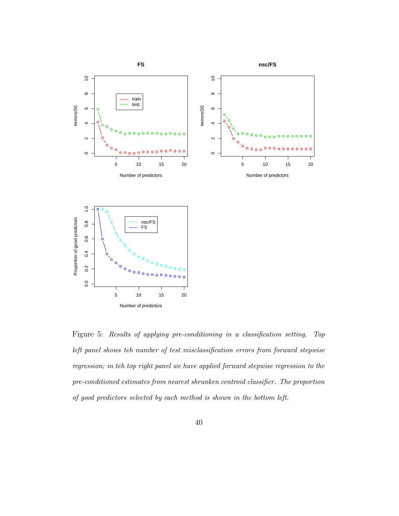

Figure 5: Results of applying pre-conditioning in a classification setting. Top left panel shows teh number of test misclassification errors from forward stepwise regression; in teh top right panel we have applied forward stepwise regression to the pre-conditioned estimates from nearest shrunken centroid classifier. The proportion of good predictors selected by each method is shown in the bottom left.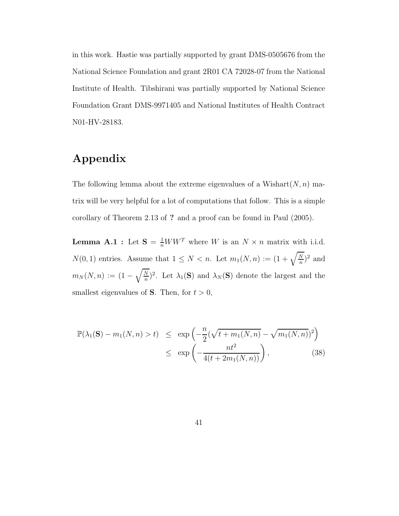in this work. Hastie was partially supported by grant DMS-0505676 from the National Science Foundation and grant 2R01 CA 72028-07 from the National Institute of Health. Tibshirani was partially supported by National Science Foundation Grant DMS-9971405 and National Institutes of Health Contract N01-HV-28183.

# Appendix

The following lemma about the extreme eigenvalues of a Wishart $(N, n)$  matrix will be very helpful for a lot of computations that follow. This is a simple corollary of Theorem 2.13 of ? and a proof can be found in Paul (2005).

**Lemma A.1**: Let  $S = \frac{1}{n}WW^T$  where W is an  $N \times n$  matrix with i.i.d.  $N(0, 1)$  entries. Assume that  $1 \leq N < n$ . Let  $m_1(N, n) := (1 + \sqrt{\frac{N}{n}})$  $\frac{N}{n}$ <sup>2</sup> and  $m_N(N,n) := (1-\sqrt{\frac{N}{n}}$  $\frac{N}{n}$ <sup>2</sup>. Let  $\lambda_1$ (S) and  $\lambda_N$ (S) denote the largest and the smallest eigenvalues of **S**. Then, for  $t > 0$ ,

$$
\mathbb{P}(\lambda_1(\mathbf{S}) - m_1(N, n) > t) \le \exp\left(-\frac{n}{2}(\sqrt{t + m_1(N, n)} - \sqrt{m_1(N, n)})^2\right) \\
\le \exp\left(-\frac{nt^2}{4(t + 2m_1(N, n))}\right), \tag{38}
$$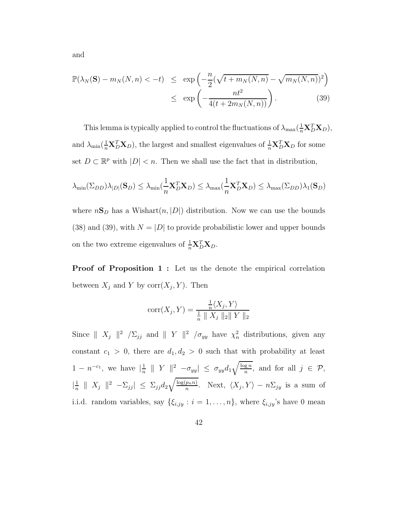and

$$
\mathbb{P}(\lambda_N(\mathbf{S}) - m_N(N, n) < -t) \le \exp\left(-\frac{n}{2}(\sqrt{t + m_N(N, n)} - \sqrt{m_N(N, n)})^2\right) \\
\le \exp\left(-\frac{nt^2}{4(t + 2m_N(N, n))}\right). \tag{39}
$$

This lemma is typically applied to control the fluctuations of  $\lambda_{\max}(\frac{1}{n} \mathbf{X}_D^T \mathbf{X}_D)$ , and  $\lambda_{\min}(\frac{1}{n} \mathbf{X}_D^T \mathbf{X}_D)$ , the largest and smallest eigenvalues of  $\frac{1}{n} \mathbf{X}_D^T \mathbf{X}_D$  for some set  $D \subset \mathbb{R}^p$  with  $|D| < n$ . Then we shall use the fact that in distribution,

$$
\lambda_{\min}(\Sigma_{DD})\lambda_{|D|}(\mathbf{S}_D) \leq \lambda_{\min}(\frac{1}{n}\mathbf{X}_D^T\mathbf{X}_D) \leq \lambda_{\max}(\frac{1}{n}\mathbf{X}_D^T\mathbf{X}_D) \leq \lambda_{\max}(\Sigma_{DD})\lambda_1(\mathbf{S}_D)
$$

where  $n\mathbf{S}_D$  has a Wishart $(n, |D|)$  distribution. Now we can use the bounds (38) and (39), with  $N = |D|$  to provide probabilistic lower and upper bounds on the two extreme eigenvalues of  $\frac{1}{n} \mathbf{X}_D^T \mathbf{X}_D$ .

Proof of Proposition 1: Let us the denote the empirical correlation between  $X_j$  and Y by  $\text{corr}(X_j, Y)$ . Then

$$
corr(X_j, Y) = \frac{\frac{1}{n} \langle X_j, Y \rangle}{\frac{1}{n} \| X_j \|_2 \| Y \|_2}
$$

Since  $||X_j||^2 / \Sigma_{jj}$  and  $||Y||^2 / \sigma_{yy}$  have  $\chi^2_n$  distributions, given any constant  $c_1 > 0$ , there are  $d_1, d_2 > 0$  such that with probability at least  $1 - n^{-c_1}$ , we have  $\left| \frac{1}{n} \right|$  $\frac{1}{n}$  || Y ||<sup>2</sup>  $-\sigma_{yy}| \leq \sigma_{yy}d_1\sqrt{\frac{\log n}{n}}$  $\frac{\mathbf{g} n}{n}$ , and for all  $j \in \mathcal{P}$ ,  $\left| \frac{1}{n} \right|$  $\frac{1}{n}$  ||  $X_j$  ||<sup>2</sup>  $-\Sigma_{jj}$ |  $\leq \Sigma_{jj}d_2\sqrt{\frac{\log(p_n n)}{n}}$  $\frac{p_n n}{n}$ . Next,  $\langle X_j, Y \rangle - n \Sigma_{jy}$  is a sum of i.i.d. random variables, say  $\{\xi_{i,jy} : i = 1, \ldots, n\}$ , where  $\xi_{i,jy}$ 's have 0 mean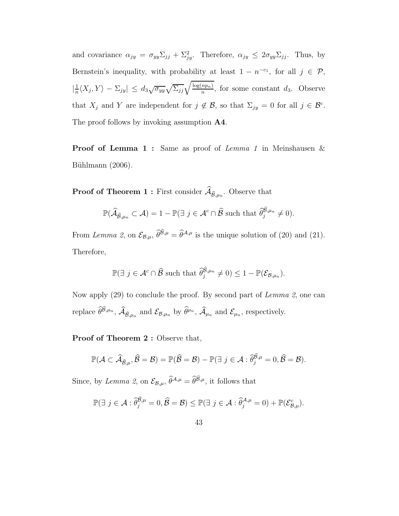and covariance  $\alpha_{jy} = \sigma_{yy} \Sigma_{jj} + \Sigma_{jy}^2$ . Therefore,  $\alpha_{jy} \le 2\sigma_{yy} \Sigma_{jj}$ . Thus, by Bernstein's inequality, with probability at least  $1 - n^{-c_1}$ , for all  $j \in \mathcal{P}$ ,  $\left| \frac{1}{n} \right|$  $\frac{1}{n}\langle X_j, Y\rangle - \Sigma_{jy} | \leq d_3 \sqrt{\sigma_{yy}} \sqrt{\Sigma_{jj}} \sqrt{\frac{\log(np_n)}{n}}$  $\frac{np_n}{n}$ , for some constant  $d_3$ . Observe that  $X_j$  and Y are independent for  $j \notin \mathcal{B}$ , so that  $\Sigma_{jy} = 0$  for all  $j \in \mathcal{B}^c$ . The proof follows by invoking assumption  $\mathbf{A4}$ .

Proof of Lemma 1: Same as proof of Lemma 1 in Meinshausen & Bühlmann  $(2006)$ .

**Proof of Theorem 1:** First consider  $\mathcal{A}_{\widehat{\mathcal{B}},\mu_n}$ . Observe that

$$
\mathbb{P}(\widehat{\mathcal{A}}_{\widehat{\mathcal{B}},\mu_n}\subset\mathcal{A})=1-\mathbb{P}(\exists j\in\mathcal{A}^c\cap\widehat{\mathcal{B}}\text{ such that }\widehat{\theta}_j^{\widehat{\mathcal{B}},\mu_n}\neq 0).
$$

From Lemma 2, on  $\mathcal{E}_{\mathcal{B},\mu}$ ,  $\widehat{\theta}^{\widehat{\mathcal{B}},\mu} = \widehat{\theta}^{\mathcal{A},\mu}$  is the unique solution of (20) and (21). Therefore,

$$
\mathbb{P}(\exists j \in \mathcal{A}^c \cap \widehat{\mathcal{B}} \text{ such that } \widehat{\theta}_j^{\widehat{\mathcal{B}},\mu_n} \neq 0) \leq 1 - \mathbb{P}(\mathcal{E}_{\mathcal{B},\mu_n}).
$$

Now apply (29) to conclude the proof. By second part of Lemma 2, one can replace  $\widehat{\theta}^{\widehat{\mathcal{B}},\mu_n}$ ,  $\widehat{\mathcal{A}}_{\widehat{\mathcal{B}},\mu_n}$  and  $\mathcal{E}_{\mathcal{B},\mu_n}$  by  $\widehat{\theta}^{\mu_n}$ ,  $\widehat{\mathcal{A}}_{\mu_n}$  and  $\mathcal{E}_{\mu_n}$ , respectively.

Proof of Theorem 2 : Observe that,

$$
\mathbb{P}(\mathcal{A}\subset\widehat{\mathcal{A}}_{\widehat{\mathcal{B}},\mu},\widehat{\mathcal{B}}=\mathcal{B})=\mathbb{P}(\widehat{\mathcal{B}}=\mathcal{B})-\mathbb{P}(\exists j\in\mathcal{A}:\widehat{\theta}_j^{\widehat{\mathcal{B}},\mu}=0,\widehat{\mathcal{B}}=\mathcal{B}).
$$

Since, by Lemma 2, on  $\mathcal{E}_{\mathcal{B},\mu}$ ,  $\widehat{\theta}^{\mathcal{A},\mu} = \widehat{\theta}^{\widehat{\mathcal{B}},\mu}$ , it follows that

$$
\mathbb{P}(\exists j \in \mathcal{A} : \widehat{\theta}_{j}^{\widehat{\mathcal{B}},\mu} = 0, \widehat{\mathcal{B}} = \mathcal{B}) \leq \mathbb{P}(\exists j \in \mathcal{A} : \widehat{\theta}_{j}^{\mathcal{A},\mu} = 0) + \mathbb{P}(\mathcal{E}_{\mathcal{B},\mu}^{c}).
$$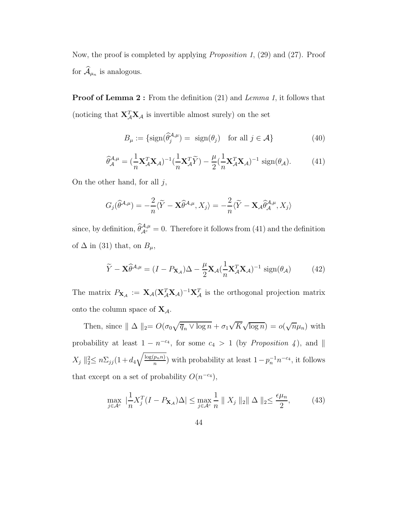Now, the proof is completed by applying Proposition 1, (29) and (27). Proof for  $\mathcal{A}_{\mu_n}$  is analogous.

**Proof of Lemma 2:** From the definition (21) and *Lemma 1*, it follows that (noticing that  $\mathbf{X}_{\mathcal{A}}^T \mathbf{X}_{\mathcal{A}}$  is invertible almost surely) on the set

$$
B_{\mu} := \{ \text{sign}(\widehat{\theta}_{j}^{\mathcal{A},\mu}) = \text{ sign}(\theta_{j}) \quad \text{for all } j \in \mathcal{A} \}
$$
 (40)

$$
\widehat{\theta}_{\mathcal{A}}^{\mathcal{A},\mu} = \left(\frac{1}{n}\mathbf{X}_{\mathcal{A}}^T\mathbf{X}_{\mathcal{A}}\right)^{-1}\left(\frac{1}{n}\mathbf{X}_{\mathcal{A}}^T\widetilde{Y}\right) - \frac{\mu}{2}\left(\frac{1}{n}\mathbf{X}_{\mathcal{A}}^T\mathbf{X}_{\mathcal{A}}\right)^{-1}\operatorname{sign}(\theta_{\mathcal{A}}). \tag{41}
$$

On the other hand, for all  $j$ ,

$$
G_j(\widehat{\theta}^{A,\mu}) = -\frac{2}{n}\langle \widetilde{Y} - \mathbf{X}\widehat{\theta}^{A,\mu}, X_j \rangle = -\frac{2}{n}\langle \widetilde{Y} - \mathbf{X}_{\mathcal{A}}\widehat{\theta}^{A,\mu}_{\mathcal{A}}, X_j \rangle
$$

since, by definition,  $\hat{\theta}_{A_c}^{\mathcal{A},\mu} = 0$ . Therefore it follows from (41) and the definition of  $\Delta$  in (31) that, on  $B_\mu$ ,

$$
\widetilde{Y} - \mathbf{X}\widehat{\theta}^{\mathcal{A},\mu} = (I - P_{\mathbf{X}_{\mathcal{A}}})\Delta - \frac{\mu}{2}\mathbf{X}_{\mathcal{A}}(\frac{1}{n}\mathbf{X}_{\mathcal{A}}^T\mathbf{X}_{\mathcal{A}})^{-1} \operatorname{sign}(\theta_{\mathcal{A}})
$$
(42)

The matrix  $P_{\mathbf{X}_{\mathcal{A}}} := \mathbf{X}_{\mathcal{A}} (\mathbf{X}_{\mathcal{A}}^T \mathbf{X}_{\mathcal{A}})^{-1} \mathbf{X}_{\mathcal{A}}^T$  is the orthogonal projection matrix onto the column space of  $X_{\mathcal{A}}$ .

Then, since  $|| \Delta ||_2 = O(\sigma_0 \sqrt{\overline{q}_n \vee \log n} + \sigma_1 \sqrt{K} \sqrt{\log n}) = o(\sqrt{n} \mu_n)$  with probability at least  $1 - n^{-c_4}$ , for some  $c_4 > 1$  (by *Proposition 4*), and  $\parallel$  $X_j \|_2^2 \leq n \sum_{j} (1 + d_4)$  $\log(p_n n)$  $\binom{p_n n}{n}$  with probability at least  $1-p_n^{-1}n^{-c_4}$ , it follows that except on a set of probability  $O(n^{-c_4})$ ,

$$
\max_{j \in \mathcal{A}^c} \left| \frac{1}{n} X_j^T (I - P_{\mathbf{X}_{\mathcal{A}}}) \Delta \right| \le \max_{j \in \mathcal{A}^c} \frac{1}{n} \| X_j \|_2 \| \Delta \|_2 \le \frac{\epsilon \mu_n}{2},\tag{43}
$$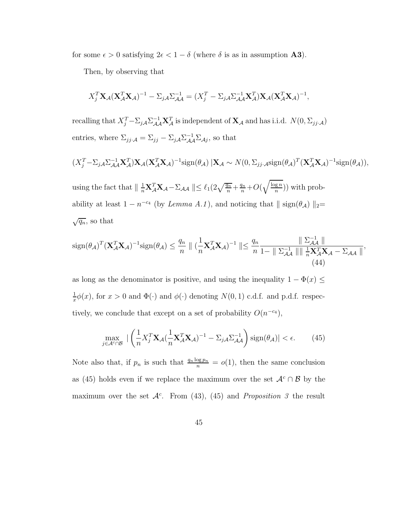for some  $\epsilon > 0$  satisfying  $2\epsilon < 1 - \delta$  (where  $\delta$  is as in assumption **A3**).

Then, by observing that

$$
X_j^T \mathbf{X}_{\mathcal{A}} (\mathbf{X}_{\mathcal{A}}^T \mathbf{X}_{\mathcal{A}})^{-1} - \Sigma_{j\mathcal{A}} \Sigma_{\mathcal{A}\mathcal{A}}^{-1} = (X_j^T - \Sigma_{j\mathcal{A}} \Sigma_{\mathcal{A}\mathcal{A}}^{-1} \mathbf{X}_{\mathcal{A}}^T) \mathbf{X}_{\mathcal{A}} (\mathbf{X}_{\mathcal{A}}^T \mathbf{X}_{\mathcal{A}})^{-1},
$$

recalling that  $X_j^T - \Sigma_{jA} \Sigma_{\mathcal{A}}^{-1} \mathbf{X}_{\mathcal{A}}^T$  is independent of  $\mathbf{X}_{\mathcal{A}}$  and has i.i.d.  $N(0, \Sigma_{jj} A)$ entries, where  $\Sigma_{jj} A = \Sigma_{jj} - \Sigma_{jA} \Sigma_{\mathcal{A}}^{-1} \Sigma_{\mathcal{A}j}$ , so that

$$
(X_j^T - \Sigma_{j\mathcal{A}} \Sigma_{\mathcal{A}\mathcal{A}}^{-1} \mathbf{X}_{\mathcal{A}}^T) \mathbf{X}_{\mathcal{A}} (\mathbf{X}_{\mathcal{A}}^T \mathbf{X}_{\mathcal{A}})^{-1} \text{sign}(\theta_{\mathcal{A}}) \, | \mathbf{X}_{\mathcal{A}} \sim N(0, \Sigma_{jj\cdot\mathcal{A}} \text{sign}(\theta_{\mathcal{A}})^T (\mathbf{X}_{\mathcal{A}}^T \mathbf{X}_{\mathcal{A}})^{-1} \text{sign}(\theta_{\mathcal{A}})),
$$

using the fact that  $\| \frac{1}{n} \mathbf{X}_A^T \mathbf{X}_A - \Sigma_{\mathcal{A}\mathcal{A}} \| \leq \ell_1(2\sqrt{\frac{q_n}{n}} + \frac{q_n}{n} + O(\sqrt{\frac{\log n}{n}}))$  $\binom{\lg n}{n}$ ) with probability at least  $1 - n^{-c_4}$  (by *Lemma A.1*), and noticing that  $\|$  sign( $\theta_{\mathcal{A}}$ )  $\|_2 =$  $\sqrt{q_n}$ , so that

$$
\operatorname{sign}(\theta_{\mathcal{A}})^{T} (\mathbf{X}_{\mathcal{A}}^{T} \mathbf{X}_{\mathcal{A}})^{-1} \operatorname{sign}(\theta_{\mathcal{A}}) \leq \frac{q_n}{n} \| (\frac{1}{n} \mathbf{X}_{\mathcal{A}}^{T} \mathbf{X}_{\mathcal{A}})^{-1} \| \leq \frac{q_n}{n} \frac{\| \Sigma_{\mathcal{A}\mathcal{A}}^{-1} \|}{1 - \| \Sigma_{\mathcal{A}\mathcal{A}}^{-1} \| \| \frac{1}{n} \mathbf{X}_{\mathcal{A}}^{T} \mathbf{X}_{\mathcal{A}} - \Sigma_{\mathcal{A}\mathcal{A}} \|},
$$
\n(44)

as long as the denominator is positive, and using the inequality  $1 - \Phi(x) \leq$ 1  $\frac{1}{x}\phi(x)$ , for  $x > 0$  and  $\Phi(\cdot)$  and  $\phi(\cdot)$  denoting  $N(0, 1)$  c.d.f. and p.d.f. respectively, we conclude that except on a set of probability  $O(n^{-c_4})$ ,

$$
\max_{j \in \mathcal{A}^c \cap \mathcal{B}} \left| \left( \frac{1}{n} X_j^T \mathbf{X}_{\mathcal{A}} (\frac{1}{n} \mathbf{X}_{\mathcal{A}}^T \mathbf{X}_{\mathcal{A}})^{-1} - \Sigma_{j\mathcal{A}} \Sigma_{\mathcal{A}\mathcal{A}}^{-1} \right) \text{sign}(\theta_{\mathcal{A}}) \right| < \epsilon. \tag{45}
$$

Note also that, if  $p_n$  is such that  $\frac{q_n \log p_n}{n} = o(1)$ , then the same conclusion as (45) holds even if we replace the maximum over the set  $\mathcal{A}^c \cap \mathcal{B}$  by the maximum over the set  $\mathcal{A}^c$ . From (43), (45) and *Proposition 3* the result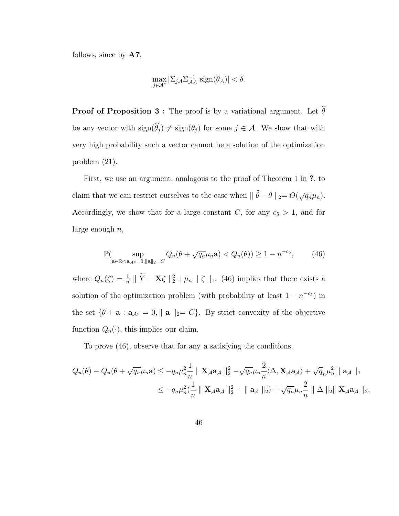follows, since by A7,

$$
\max_{j \in \mathcal{A}^c} |\Sigma_{j\mathcal{A}} \Sigma_{\mathcal{A}\mathcal{A}}^{-1} \operatorname{sign}(\theta_{\mathcal{A}})| < \delta.
$$

**Proof of Proposition 3 :** The proof is by a variational argument. Let  $\widehat{\theta}$ be any vector with  $sign(\theta_j) \neq sign(\theta_j)$  for some  $j \in \mathcal{A}$ . We show that with very high probability such a vector cannot be a solution of the optimization problem (21).

First, we use an argument, analogous to the proof of Theorem 1 in ?, to claim that we can restrict ourselves to the case when  $\|\hat{\theta} - \theta\|_2 = O(\sqrt{q_n}\mu_n)$ . Accordingly, we show that for a large constant  $C$ , for any  $c_5 > 1$ , and for large enough  $n$ ,

$$
\mathbb{P}(\sup_{\mathbf{a}\in\mathbb{R}^p:\mathbf{a}_{\mathcal{A}^c}=0,\|\mathbf{a}\|_2=C} Q_n(\theta+\sqrt{q_n}\mu_n\mathbf{a}) < Q_n(\theta)) \ge 1-n^{-c_5},\qquad(46)
$$

where  $Q_n(\zeta) = \frac{1}{n}$  $\frac{1}{n} \parallel \tilde{Y} - \mathbf{X} \zeta \parallel_2^2 + \mu_n \parallel \zeta \parallel_1$ . (46) implies that there exists a solution of the optimization problem (with probability at least  $1 - n^{-c_5}$ ) in the set  $\{\theta + \mathbf{a} : \mathbf{a}_{\mathcal{A}^c} = 0, \|\mathbf{a}\|_2 = C\}$ . By strict convexity of the objective function  $Q_n(\cdot)$ , this implies our claim.

To prove (46), observe that for any a satisfying the conditions,

$$
Q_n(\theta) - Q_n(\theta + \sqrt{q_n}\mu_n \mathbf{a}) \leq -q_n\mu_n^2 \frac{1}{n} \parallel \mathbf{X}_{\mathcal{A}} \mathbf{a}_{\mathcal{A}} \parallel_2^2 - \sqrt{q_n}\mu_n^2 \frac{2}{n} \langle \Delta, \mathbf{X}_{\mathcal{A}} \mathbf{a}_{\mathcal{A}} \rangle + \sqrt{q_n}\mu_n^2 \parallel \mathbf{a}_{\mathcal{A}} \parallel_1
$$
  

$$
\leq -q_n\mu_n^2 \left(\frac{1}{n} \parallel \mathbf{X}_{\mathcal{A}} \mathbf{a}_{\mathcal{A}} \parallel_2^2 - \parallel \mathbf{a}_{\mathcal{A}} \parallel_2 \right) + \sqrt{q_n}\mu_n^2 \frac{2}{n} \parallel \Delta \parallel_2 \parallel \mathbf{X}_{\mathcal{A}} \mathbf{a}_{\mathcal{A}} \parallel_2,
$$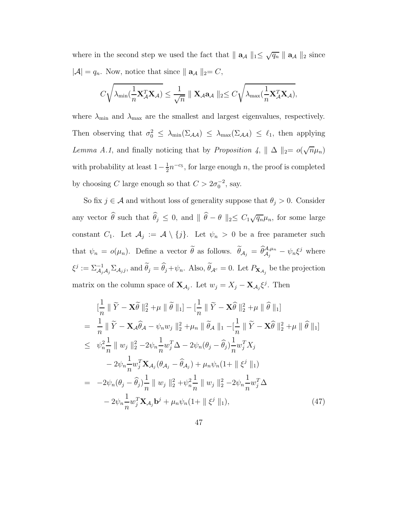where in the second step we used the fact that  $|| \mathbf{a}_{\mathcal{A}} ||_1 \leq \sqrt{q_n} || \mathbf{a}_{\mathcal{A}} ||_2$  since  $|\mathcal{A}| = q_n$ . Now, notice that since  $|| \mathbf{a}_{\mathcal{A}} ||_2 = C$ ,

$$
C\sqrt{\lambda_{\min}(\frac{1}{n}\mathbf{X}_{\mathcal{A}}^T\mathbf{X}_{\mathcal{A}})} \leq \frac{1}{\sqrt{n}}\parallel \mathbf{X}_{\mathcal{A}}\mathbf{a}_{\mathcal{A}}\parallel_2 \leq C\sqrt{\lambda_{\max}(\frac{1}{n}\mathbf{X}_{\mathcal{A}}^T\mathbf{X}_{\mathcal{A}})},
$$

where  $\lambda_{\min}$  and  $\lambda_{\max}$  are the smallest and largest eigenvalues, respectively. Then observing that  $\sigma_0^2 \leq \lambda_{\min}(\Sigma_{\mathcal{A}\mathcal{A}}) \leq \lambda_{\max}(\Sigma_{\mathcal{A}\mathcal{A}}) \leq \ell_1$ , then applying Lemma A.1, and finally noticing that by Proposition 4,  $|| \Delta ||_2 = o(\sqrt{n}\mu_n)$ with probability at least  $1-\frac{1}{2}$  $\frac{1}{2}n^{-c_5}$ , for large enough n, the proof is completed by choosing C large enough so that  $C > 2\sigma_0^{-2}$ , say.

So fix  $j \in \mathcal{A}$  and without loss of generality suppose that  $\theta_j > 0$ . Consider any vector  $\widehat{\theta}$  such that  $\widehat{\theta}_j \leq 0$ , and  $\|\widehat{\theta} - \theta\|_2 \leq C_1 \sqrt{q_n} \mu_n$ , for some large constant  $C_1$ . Let  $\mathcal{A}_j := \mathcal{A} \setminus \{j\}$ . Let  $\psi_n > 0$  be a free parameter such that  $\psi_n = o(\mu_n)$ . Define a vector  $\tilde{\theta}$  as follows.  $\tilde{\theta}_{\mathcal{A}_j} = \hat{\theta}_{\mathcal{A}_j}^{\mathcal{A},\mu_n} - \psi_n \xi^j$  where  $\xi^j := \Sigma_{A_j}^{-1}$  $\sum_{\mathcal{A}_j \mathcal{A}_j}^{\mathcal{A}} \Sigma_{\mathcal{A}_j j}$ , and  $\theta_j = \theta_j + \psi_n$ . Also,  $\theta_{\mathcal{A}^c} = 0$ . Let  $P_{\mathbf{X}_{\mathcal{A}_j}}$  be the projection matrix on the column space of  $\mathbf{X}_{\mathcal{A}_j}$ . Let  $w_j = X_j - \mathbf{X}_{\mathcal{A}_j} \xi^j$ . Then

$$
\begin{split}\n&\left[\frac{1}{n} \parallel \tilde{Y} - \mathbf{X}\tilde{\theta} \parallel_{2}^{2} + \mu \parallel \tilde{\theta} \parallel_{1}\right] - \left[\frac{1}{n} \parallel \tilde{Y} - \mathbf{X}\hat{\theta} \parallel_{2}^{2} + \mu \parallel \hat{\theta} \parallel_{1}\right] \\
&= \frac{1}{n} \parallel \tilde{Y} - \mathbf{X}_{\mathcal{A}}\hat{\theta}_{\mathcal{A}} - \psi_{n}w_{j} \parallel_{2}^{2} + \mu_{n} \parallel \tilde{\theta}_{\mathcal{A}} \parallel_{1} - \left[\frac{1}{n} \parallel \tilde{Y} - \mathbf{X}\hat{\theta} \parallel_{2}^{2} + \mu \parallel \hat{\theta} \parallel_{1}\right] \\
&\leq \psi_{n}^{2} \frac{1}{n} \parallel w_{j} \parallel_{2}^{2} - 2\psi_{n} \frac{1}{n} w_{j}^{T} \Delta - 2\psi_{n} (\theta_{j} - \hat{\theta}_{j}) \frac{1}{n} w_{j}^{T} X_{j} \\
&- 2\psi_{n} \frac{1}{n} w_{j}^{T} \mathbf{X}_{\mathcal{A}_{j}} (\theta_{\mathcal{A}_{j}} - \hat{\theta}_{\mathcal{A}_{j}}) + \mu_{n} \psi_{n} (1 + \parallel \xi^{j} \parallel_{1}) \\
&= -2\psi_{n} (\theta_{j} - \hat{\theta}_{j}) \frac{1}{n} \parallel w_{j} \parallel_{2}^{2} + \psi_{n}^{2} \frac{1}{n} \parallel w_{j} \parallel_{2}^{2} - 2\psi_{n} \frac{1}{n} w_{j}^{T} \Delta \\
&- 2\psi_{n} \frac{1}{n} w_{j}^{T} \mathbf{X}_{\mathcal{A}_{j}} \mathbf{b}^{j} + \mu_{n} \psi_{n} (1 + \parallel \xi^{j} \parallel_{1}),\n\end{split} \tag{47}
$$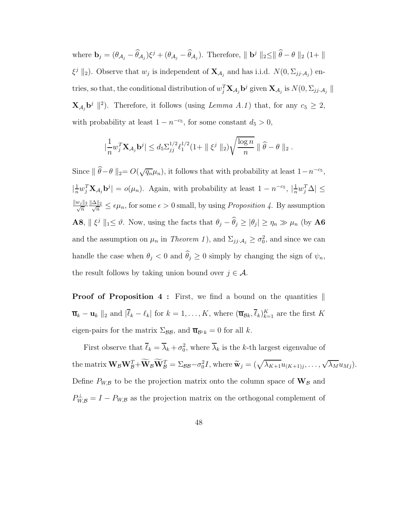where  $\mathbf{b}_j = (\theta_{\mathcal{A}_j} - \hat{\theta}_{\mathcal{A}_j})\xi^j + (\theta_{\mathcal{A}_j} - \hat{\theta}_{\mathcal{A}_j})$ . Therefore,  $\|\mathbf{b}^j\|_2 \le \|\hat{\theta} - \theta\|_2 (1 + \|\theta\|_2)$  $\xi^j \|_2$ ). Observe that  $w_j$  is independent of  $\mathbf{X}_{\mathcal{A}_j}$  and has i.i.d.  $N(0, \Sigma_{jj \cdot \mathcal{A}_j})$  entries, so that, the conditional distribution of  $w_j^T \mathbf{X}_{\mathcal{A}_j} \mathbf{b}^j$  given  $\mathbf{X}_{\mathcal{A}_j}$  is  $N(0, \Sigma_{jj \cdot \mathcal{A}_j} ||$  $\mathbf{X}_{\mathcal{A}_j} \mathbf{b}^j \parallel^2$ ). Therefore, it follows (using *Lemma A.1*) that, for any  $c_5 \geq 2$ , with probability at least  $1 - n^{-c_5}$ , for some constant  $d_5 > 0$ ,

$$
|\frac{1}{n}w_j^T \mathbf{X}_{\mathcal{A}_j} \mathbf{b}^j| \leq d_5 \sum_{j}^{1/2} \ell_1^{1/2} (1 + \| \xi^j \|_2) \sqrt{\frac{\log n}{n}} \| \widehat{\theta} - \theta \|_2.
$$

Since  $\|\hat{\theta}-\theta\|_2 = O(\sqrt{q_n}\mu_n)$ , it follows that with probability at least  $1-n^{-c_5}$ ,  $\left| \frac{1}{n} \right|$  $\frac{1}{n}w_j^T \mathbf{X}_{\mathcal{A}_j} \mathbf{b}^j$  =  $o(\mu_n)$ . Again, with probability at least 1 –  $n^{-c_5}$ ,  $|\frac{1}{n}\rangle$  $\frac{1}{n}w_j^T\Delta\vert \leq$  $\frac{||w_j||_2}{\sqrt{n}} \frac{\|\Delta\|_2}{\sqrt{n}} \leq \epsilon \mu_n$ , for some  $\epsilon > 0$  small, by using *Proposition 4*. By assumption **A8**,  $\|\xi^j\|_1 \leq \vartheta$ . Now, using the facts that  $\theta_j - \theta_j \geq |\theta_j| \geq \eta_n \gg \mu_n$  (by **A6**) and the assumption on  $\mu_n$  in Theorem 1), and  $\Sigma_{jj} A_j \ge \sigma_0^2$ , and since we can handle the case when  $\theta_j < 0$  and  $\theta_j \ge 0$  simply by changing the sign of  $\psi_n$ , the result follows by taking union bound over  $j \in \mathcal{A}$ .

**Proof of Proposition 4 :** First, we find a bound on the quantities  $\parallel$  $\overline{\mathbf{u}}_k - \mathbf{u}_k \parallel_2$  and  $|\overline{\ell}_k - \ell_k|$  for  $k = 1, \ldots, K$ , where  $(\overline{\mathbf{u}}_{\mathcal{B}k}, \overline{\ell}_k)_{k=1}^K$  are the first K eigen-pairs for the matrix  $\Sigma_{\mathcal{BB}}$ , and  $\overline{\mathbf{u}}_{\mathcal{B}^c k} = 0$  for all k.

First observe that  $\overline{\ell}_k = \overline{\lambda}_k + \sigma_0^2$ , where  $\overline{\lambda}_k$  is the k-th largest eigenvalue of the matrix  $\mathbf{W}_{\mathcal{B}}\mathbf{W}_{\mathcal{B}}^T + \widetilde{\mathbf{W}}_{\mathcal{B}}\widetilde{\mathbf{W}}_{\mathcal{B}}^T = \Sigma_{\mathcal{B}\mathcal{B}} - \sigma_0^2 I$ , where  $\widetilde{\mathbf{w}}_j = (\sqrt{\lambda_{K+1}}u_{(K+1)j}, \ldots, \sqrt{\lambda_M}u_{Mj}).$ Define  $P_{W,B}$  to be the projection matrix onto the column space of  $\mathbf{W}_B$  and  $P_{W,B}^{\perp} = I - P_{W,B}$  as the projection matrix on the orthogonal complement of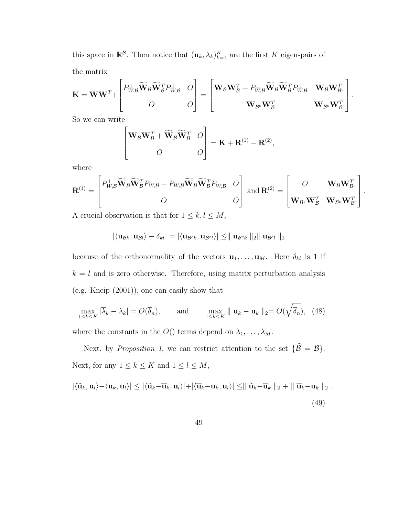this space in  $\mathbb{R}^8$ . Then notice that  $(\mathbf{u}_k, \lambda_k)_{k=1}^K$  are the first K eigen-pairs of the matrix

$$
\mathbf{K} = \mathbf{W}\mathbf{W}^T + \begin{bmatrix} P_{W,B}^{\perp} \widetilde{\mathbf{W}}_B \widetilde{\mathbf{W}}_B^T P_{W,B}^{\perp} & O \\ O & O \end{bmatrix} = \begin{bmatrix} \mathbf{W}_B \mathbf{W}_B^T + P_{W,B}^{\perp} \widetilde{\mathbf{W}}_B \widetilde{\mathbf{W}}_B^T P_{W,B}^{\perp} & \mathbf{W}_B \mathbf{W}_{B^c}^T \\ & \mathbf{W}_{B^c} \mathbf{W}_B^T & \mathbf{W}_{B^c} \mathbf{W}_{B^c}^T \end{bmatrix}.
$$

So we can write

$$
\begin{bmatrix} \mathbf{W}_{\mathcal{B}} \mathbf{W}_{\mathcal{B}}^T + \widetilde{\mathbf{W}}_{\mathcal{B}} \widetilde{\mathbf{W}}_{\mathcal{B}}^T & O \\ O & O \end{bmatrix} = \mathbf{K} + \mathbf{R}^{(1)} - \mathbf{R}^{(2)},
$$

where

$$
\mathbf{R}^{(1)} = \begin{bmatrix} P_{W,\mathcal{B}}^{\perp} \widetilde{\mathbf{W}}_{\mathcal{B}} \widetilde{\mathbf{W}}_{\mathcal{B}}^T P_{W,\mathcal{B}} + P_{W,\mathcal{B}} \widetilde{\mathbf{W}}_{\mathcal{B}} \widetilde{\mathbf{W}}_{\mathcal{B}}^T P_{W,\mathcal{B}}^{\perp} & O \\ O & O \end{bmatrix} \text{ and } \mathbf{R}^{(2)} = \begin{bmatrix} O & \mathbf{W}_{\mathcal{B}} \mathbf{W}_{\mathcal{B}^c}^T \\ \mathbf{W}_{\mathcal{B}^c} \mathbf{W}_{\mathcal{B}}^T & \mathbf{W}_{\mathcal{B}^c} \mathbf{W}_{\mathcal{B}^c}^T \end{bmatrix}.
$$

A crucial observation is that for  $1\leq k,l\leq M,$ 

$$
|\langle \mathbf{u}_{\mathcal{B}k}, \mathbf{u}_{\mathcal{B}l}\rangle - \delta_{kl}| = |\langle \mathbf{u}_{\mathcal{B}^{c}k}, \mathbf{u}_{\mathcal{B}^{c}l}\rangle| \leq ||\mathbf{u}_{\mathcal{B}^{c}k}||_2||\mathbf{u}_{\mathcal{B}^{c}l}||_2
$$

because of the orthonormality of the vectors  $\mathbf{u}_1, \ldots, \mathbf{u}_M$ . Here  $\delta_{kl}$  is 1 if  $k = l$  and is zero otherwise. Therefore, using matrix perturbation analysis (e.g. Kneip (2001)), one can easily show that

$$
\max_{1 \le k \le K} |\overline{\lambda}_k - \lambda_k| = O(\overline{\delta}_n), \quad \text{and} \quad \max_{1 \le k \le K} \|\overline{\mathbf{u}}_k - \mathbf{u}_k\|_2 = O(\sqrt{\overline{\delta}_n}), \quad (48)
$$

where the constants in the  $O()$  terms depend on  $\lambda_1, \ldots, \lambda_M$ .

Next, by Proposition 1, we can restrict attention to the set  $\{\widehat{\mathcal{B}} = \mathcal{B}\}.$ Next, for any  $1 \leq k \leq K$  and  $1 \leq l \leq M$ ,

$$
|\langle \widetilde{\mathbf{u}}_k, \mathbf{u}_l \rangle - \langle \mathbf{u}_k, \mathbf{u}_l \rangle| \leq |\langle \widetilde{\mathbf{u}}_k - \overline{\mathbf{u}}_k, \mathbf{u}_l \rangle| + |\langle \overline{\mathbf{u}}_k - \mathbf{u}_k, \mathbf{u}_l \rangle| \leq ||\widetilde{\mathbf{u}}_k - \overline{\mathbf{u}}_k||_2 + ||\overline{\mathbf{u}}_k - \mathbf{u}_k||_2.
$$
\n(49)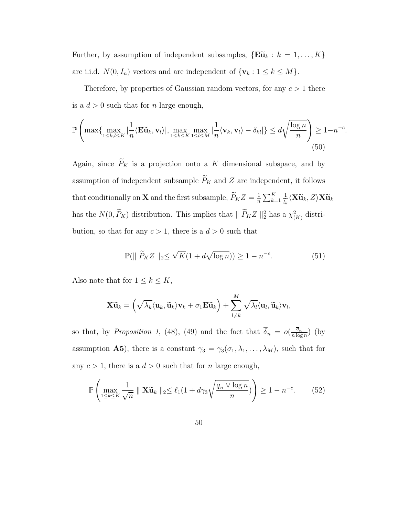Further, by assumption of independent subsamples,  $\{E\tilde{u}_k : k = 1, ..., K\}$ are i.i.d.  $N(0, I_n)$  vectors and are independent of  $\{v_k : 1 \le k \le M\}$ .

Therefore, by properties of Gaussian random vectors, for any  $c > 1$  there is a  $d > 0$  such that for n large enough,

$$
\mathbb{P}\left(\max\{\max_{1\leq k,l\leq K}|\frac{1}{n}\langle\mathbf{E}\widetilde{\mathbf{u}}_k,\mathbf{v}_l\rangle|,\max_{1\leq k\leq K}\max_{1\leq l\leq M}|\frac{1}{n}\langle\mathbf{v}_k,\mathbf{v}_l\rangle-\delta_{kl}|\}\leq d\sqrt{\frac{\log n}{n}}\right)\geq 1-n^{-c}.
$$
\n(50)

Again, since  $\widetilde{P}_K$  is a projection onto a K dimensional subspace, and by assumption of independent subsample  $\widetilde{P}_K$  and Z are independent, it follows that conditionally on **X** and the first subsample,  $\tilde{P}_K Z = \frac{1}{n}$  $\frac{1}{n}\sum_{k=1}^K$  $\frac{1}{\widetilde{l}_k}\langle \mathbf{X}\widetilde{\mathbf{u}}_k,Z\rangle \mathbf{X}\widetilde{\mathbf{u}}_k$ has the  $N(0, \tilde{P}_K)$  distribution. This implies that  $\| \tilde{P}_K Z \|_2^2$  has a  $\chi^2_{(K)}$  distribution, so that for any  $c > 1$ , there is a  $d > 0$  such that

$$
\mathbb{P}(\|\ \widetilde{P}_K Z \|_2 \le \sqrt{K} (1 + d\sqrt{\log n})) \ge 1 - n^{-c}.\tag{51}
$$

Also note that for  $1 \leq k \leq K$ ,

$$
\mathbf{X}\widetilde{\mathbf{u}}_k = \left(\sqrt{\lambda_k}\langle \mathbf{u}_k, \widetilde{\mathbf{u}}_k \rangle \mathbf{v}_k + \sigma_1 \mathbf{E} \widetilde{\mathbf{u}}_k \right) + \sum_{l \neq k}^M \sqrt{\lambda_l} \langle \mathbf{u}_l, \widetilde{\mathbf{u}}_k \rangle \mathbf{v}_l,
$$

so that, by Proposition 1, (48), (49) and the fact that  $\overline{\delta}_n = o(\frac{\overline{q}_n}{n \log n})$  $\frac{q_n}{n \log n}$ ) (by assumption **A5**), there is a constant  $\gamma_3 = \gamma_3(\sigma_1, \lambda_1, \ldots, \lambda_M)$ , such that for any  $c > 1$ , there is a  $d > 0$  such that for n large enough,

$$
\mathbb{P}\left(\max_{1\leq k\leq K} \frac{1}{\sqrt{n}} \parallel \mathbf{X}\widetilde{\mathbf{u}}_k \parallel_2 \leq \ell_1(1+d\gamma_3\sqrt{\frac{\overline{q}_n \vee \log n}{n}})\right) \geq 1 - n^{-c}.\tag{52}
$$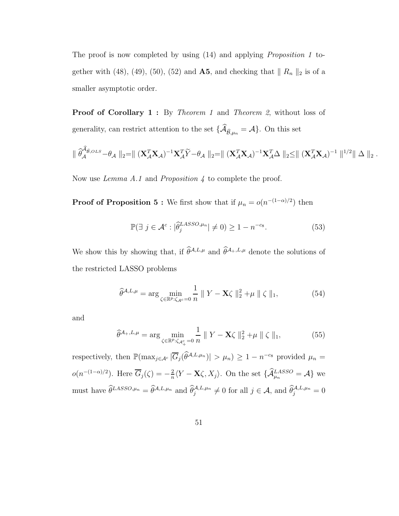The proof is now completed by using (14) and applying Proposition 1 together with (48), (49), (50), (52) and **A5**, and checking that  $\| R_n \|_2$  is of a smaller asymptotic order.

**Proof of Corollary 1:** By Theorem 1 and Theorem 2, without loss of generality, can restrict attention to the set  $\{\mathcal{A}_{\widehat{\mathcal{B}},\mu_n} = \mathcal{A}\}$ . On this set

$$
\parallel \widehat{\theta}_{\mathcal{A}}^{\widehat{\mathcal{A}}_{\widehat{\mathcal{B}}},OLS} - \theta_{\mathcal{A}} \parallel_2 = \parallel (\mathbf{X}_{\mathcal{A}}^T \mathbf{X}_{\mathcal{A}})^{-1} \mathbf{X}_{\mathcal{A}}^T \widetilde{Y} - \theta_{\mathcal{A}} \parallel_2 = \parallel (\mathbf{X}_{\mathcal{A}}^T \mathbf{X}_{\mathcal{A}})^{-1} \mathbf{X}_{\mathcal{A}}^T \Delta \parallel_2 \leq \parallel (\mathbf{X}_{\mathcal{A}}^T \mathbf{X}_{\mathcal{A}})^{-1} \parallel^{1/2} \parallel \Delta \parallel_2.
$$

Now use *Lemma A.1* and *Proposition 4* to complete the proof.

**Proof of Proposition 5 :** We first show that if  $\mu_n = o(n^{-(1-\alpha)/2})$  then

$$
\mathbb{P}(\exists j \in \mathcal{A}^c : |\hat{\theta}_j^{LASSO,\mu_n}| \neq 0) \geq 1 - n^{-c_8}.
$$
 (53)

We show this by showing that, if  $\widehat{\theta}^{A,L,\mu}$  and  $\widehat{\theta}^{A_+,L,\mu}$  denote the solutions of the restricted LASSO problems

$$
\widehat{\theta}^{\mathcal{A},L,\mu} = \arg\min_{\zeta \in \mathbb{R}^p:\zeta_{\mathcal{A}^c} = 0} \frac{1}{n} \|Y - \mathbf{X}\zeta\|_2^2 + \mu \| \zeta \|_1,\tag{54}
$$

and

$$
\widehat{\theta}^{\mathcal{A}_+,L,\mu} = \arg \min_{\zeta \in \mathbb{R}^p : \zeta_{\mathcal{A}^c_+} = 0} \frac{1}{n} \| Y - \mathbf{X} \zeta \|_2^2 + \mu \| \zeta \|_1, \tag{55}
$$

respectively, then  $\mathbb{P}(\max_{j\in\mathcal{A}^c}|\overline{G}_j(\widehat{\theta}^{A,L,\mu_n})|>\mu_n)\geq 1-n^{-c_8}$  provided  $\mu_n=$  $o(n^{-(1-\alpha)/2})$ . Here  $\overline{G}_j(\zeta) = -\frac{2}{n}$  $\frac{2}{n}\langle Y - \mathbf{X}\zeta, X_j\rangle$ . On the set  $\{\mathcal{A}_{\mu_n}^{LASSO} = \mathcal{A}\}\$  we must have  $\widehat{\theta}^{LASSO,\mu_n} = \widehat{\theta}^{\mathcal{A},L,\mu_n}$  and  $\widehat{\theta}_j^{\mathcal{A},L,\mu_n} \neq 0$  for all  $j \in \mathcal{A}$ , and  $\widehat{\theta}_j^{\mathcal{A},L,\mu_n} = 0$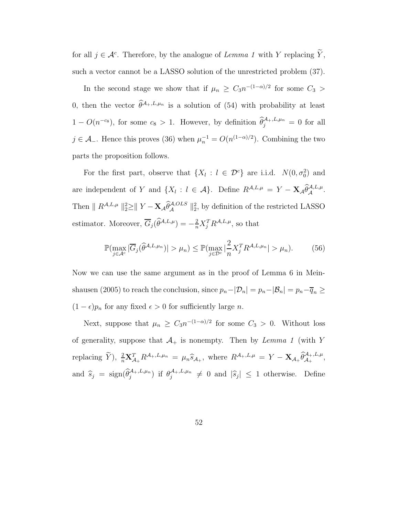for all  $j \in \mathcal{A}^c$ . Therefore, by the analogue of Lemma 1 with Y replacing  $\tilde{Y}$ , such a vector cannot be a LASSO solution of the unrestricted problem (37).

In the second stage we show that if  $\mu_n \geq C_3 n^{-(1-\alpha)/2}$  for some  $C_3 >$ 0, then the vector  $\hat{\theta}^{\mathcal{A}_+,L,\mu_n}$  is a solution of (54) with probability at least  $1 - O(n^{-c_8})$ , for some  $c_8 > 1$ . However, by definition  $\hat{\theta}_j^{\mathcal{A}_+, L, \mu_n} = 0$  for all  $j \in \mathcal{A}_-$ . Hence this proves (36) when  $\mu_n^{-1} = O(n^{(1-\alpha)/2})$ . Combining the two parts the proposition follows.

For the first part, observe that  $\{X_l : l \in \mathcal{D}^c\}$  are i.i.d.  $N(0, \sigma_0^2)$  and are independent of Y and  $\{X_l: l \in \mathcal{A}\}\$ . Define  $R^{\mathcal{A}, L,\mu} = Y - \mathbf{X}_{\mathcal{A}} \widehat{\theta}_{\mathcal{A}}^{\mathcal{A}, L,\mu}.$ Then  $\| R^{\mathcal{A}, L, \mu} \|_{2}^2 \ge \| Y - \mathbf{X}_{\mathcal{A}} \widehat{\theta}_{\mathcal{A}}^{\mathcal{A},OLS} \|_{2}^2$ , by definition of the restricted LASSO estimator. Moreover,  $\overline{G}_j(\widehat{\theta}^{A,L,\mu}) = -\frac{2}{n} X_j^T R^{A,L,\mu}$ , so that

$$
\mathbb{P}(\max_{j\in\mathcal{A}^c}|\overline{G}_j(\widehat{\theta}^{\mathcal{A},L,\mu_n})|>\mu_n)\leq \mathbb{P}(\max_{j\in\mathcal{D}^c}|\frac{2}{n}X_j^TR^{\mathcal{A},L,\mu_n}|>\mu_n). \tag{56}
$$

Now we can use the same argument as in the proof of Lemma 6 in Meinshausen (2005) to reach the conclusion, since  $p_n-|\mathcal{D}_n| = p_n-|\mathcal{B}_n| = p_n-\overline{q}_n \ge$  $(1 - \epsilon)p_n$  for any fixed  $\epsilon > 0$  for sufficiently large *n*.

Next, suppose that  $\mu_n \geq C_3 n^{-(1-\alpha)/2}$  for some  $C_3 > 0$ . Without loss of generality, suppose that  $\mathcal{A}_+$  is nonempty. Then by Lemma 1 (with Y replacing  $\widetilde{Y}$ ),  $\frac{2}{n} \mathbf{X}_{\mathcal{A}_+}^T R^{\mathcal{A}_+,L,\mu_n} = \mu_n \widehat{s}_{\mathcal{A}_+}$ , where  $R^{\mathcal{A}_+,L,\mu} = Y - \mathbf{X}_{\mathcal{A}_+} \widehat{\theta}_{\mathcal{A}_+}^{\mathcal{A}_+,L,\mu}$ , and  $\hat{s}_j = \text{sign}(\hat{\theta}_j^{\mathcal{A}_+,L,\mu_n})$  if  $\theta_j^{\mathcal{A}_+,L,\mu_n} \neq 0$  and  $|\hat{s}_j| \leq 1$  otherwise. Define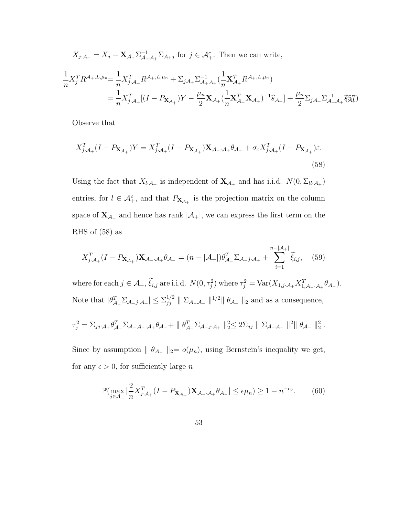$$
X_{j \cdot A_{+}} = X_{j} - \mathbf{X}_{A_{+}} \Sigma_{A_{+} A_{+}}^{-1} \Sigma_{A_{+} j} \text{ for } j \in A_{+}^{c}. \text{ Then we can write,}
$$
\n
$$
\frac{1}{n} X_{j}^{T} R^{A_{+}, L, \mu_{n}} = \frac{1}{n} X_{j \cdot A_{+}}^{T} R^{A_{+}, L, \mu_{n}} + \Sigma_{j A_{+}} \Sigma_{A_{+} A_{+}}^{-1} \left( \frac{1}{n} \mathbf{X}_{A_{+}}^{T} R^{A_{+}, L, \mu_{n}} \right)
$$
\n
$$
= \frac{1}{n} X_{j \cdot A_{+}}^{T} [(I - P_{\mathbf{X}_{A_{+}}}) Y - \frac{\mu_{n}}{2} \mathbf{X}_{A_{+}} \left( \frac{1}{n} \mathbf{X}_{A_{+}}^{T} \mathbf{X}_{A_{+}} \right)^{-1} \hat{s}_{A_{+}}] + \frac{\mu_{n}}{2} \Sigma_{j A_{+}} \Sigma_{A_{+} A_{+}}^{-1} \hat{s}_{\mathbf{A}}^{T} ]
$$

Observe that

$$
X_{j\cdot\mathcal{A}_+}^T(I - P_{\mathbf{X}_{\mathcal{A}_+}})Y = X_{j\cdot\mathcal{A}_+}^T(I - P_{\mathbf{X}_{\mathcal{A}_+}}) \mathbf{X}_{\mathcal{A}_-\cdot\mathcal{A}_+} \theta_{\mathcal{A}_-} + \sigma_{\varepsilon} X_{j\cdot\mathcal{A}_+}^T(I - P_{\mathbf{X}_{\mathcal{A}_+}})\varepsilon.
$$
\n(58)

Using the fact that  $X_{l \cdot A_+}$  is independent of  $\mathbf{X}_{A_+}$  and has i.i.d.  $N(0, \Sigma_{ll \cdot A_+})$ entries, for  $l \in \mathcal{A}_{+}^{c}$ , and that  $P_{\mathbf{X}_{\mathcal{A}_{+}}}$  is the projection matrix on the column space of  $\mathbf{X}_{\mathcal{A}_+}$  and hence has rank  $|\mathcal{A}_+|,$  we can express the first term on the RHS of (58) as

$$
X_{j\cdot\mathcal{A}_+}^T(I - P_{\mathbf{X}_{\mathcal{A}_+}})\mathbf{X}_{\mathcal{A}_-\cdot\mathcal{A}_+}\theta_{\mathcal{A}_-} = (n - |\mathcal{A}_+|)\theta_{\mathcal{A}_-}^T \Sigma_{\mathcal{A}_-j\cdot\mathcal{A}_+} + \sum_{i=1}^{n-|\mathcal{A}_+|} \tilde{\xi}_{i,j},\tag{59}
$$

where for each  $j \in \mathcal{A}_-, \xi_{i,j}$  are i.i.d.  $N(0, \tau_j^2)$  where  $\tau_j^2 = \text{Var}(X_{1,j} \cdot \mathcal{A}_+ X_{1,\mathcal{A}_-, \mathcal{A}_+}^T \theta_{\mathcal{A}_-})$ . Note that  $|\theta_{\mathcal{A}_{-}}^T \Sigma_{\mathcal{A}_{-}j \cdot \mathcal{A}_{+}}| \leq \Sigma_{jj}^{1/2}$  $\int_{j}^{1/2}$   $\parallel$   $\Sigma_{\mathcal{A}-\mathcal{A}-}$   $\parallel$ <sup>1/2</sup> $\parallel$   $\theta_{\mathcal{A}-}$   $\parallel$ <sub>2</sub> and as a consequence,

$$
\tau_j^2 = \sum_{jj \cdot A_+} \theta_{A_-}^T \sum_{A_- A_- \cdot A_+} \theta_{A_-} + || \theta_{A_-}^T \sum_{A_- j \cdot A_+} ||_2^2 \leq 2 \sum_{jj} || \sum_{A_- A_-} ||^2 || \theta_{A_-} ||_2^2.
$$

Since by assumption  $|| \theta_{A-} ||_2 = o(\mu_n)$ , using Bernstein's inequality we get, for any  $\epsilon > 0$ , for sufficiently large *n* 

$$
\mathbb{P}(\max_{j\in\mathcal{A}_-}|\frac{2}{n}X_{j\cdot\mathcal{A}_+}^T(I - P_{\mathbf{X}_{\mathcal{A}_+}})\mathbf{X}_{\mathcal{A}_-\cdot\mathcal{A}_+}\theta_{\mathcal{A}_-}| \leq \epsilon\mu_n) \geq 1 - n^{-c_9}.\tag{60}
$$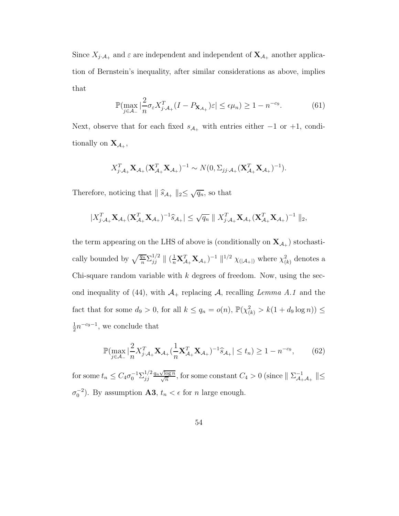Since  $X_{j\cdot A_+}$  and  $\varepsilon$  are independent and independent of  $\mathbf{X}_{A_+}$  another application of Bernstein's inequality, after similar considerations as above, implies that

$$
\mathbb{P}(\max_{j\in\mathcal{A}_-}|\frac{2}{n}\sigma_{\varepsilon}X_{j\cdot\mathcal{A}_+}^T(I - P_{\mathbf{X}_{\mathcal{A}_+}})\varepsilon| \leq \epsilon\mu_n) \geq 1 - n^{-c_9}.\tag{61}
$$

Next, observe that for each fixed  $s_{A_+}$  with entries either  $-1$  or  $+1$ , conditionally on  $X_{\mathcal{A}_+}$ ,

$$
X_{j\cdot A_+}^T \mathbf{X}_{A_+} (\mathbf{X}_{A_+}^T \mathbf{X}_{A_+})^{-1} \sim N(0, \Sigma_{jj\cdot A_+} (\mathbf{X}_{A_+}^T \mathbf{X}_{A_+})^{-1}).
$$

Therefore, noticing that  $\|\widehat{s}_{\mathcal{A}_+}\|_2 \leq \sqrt{q_n}$ , so that

$$
|X_{j\cdot A_+}^T \mathbf{X}_{\mathcal{A}_+} (\mathbf{X}_{\mathcal{A}_+}^T \mathbf{X}_{\mathcal{A}_+})^{-1} \widehat{s}_{\mathcal{A}_+}| \leq \sqrt{q_n} \| X_{j\cdot A_+}^T \mathbf{X}_{\mathcal{A}_+} (\mathbf{X}_{\mathcal{A}_+}^T \mathbf{X}_{\mathcal{A}_+})^{-1} \|_2,
$$

the term appearing on the LHS of above is (conditionally on  $\mathbf{X}_{\mathcal{A}_+}$ ) stochastically bounded by  $\sqrt{\frac{q_n}{n}} \Sigma_{jj}^{1/2}$  $\chi_{jj}^{1/2} \|$  ( $\frac{1}{n} \mathbf{X}_{\mathcal{A}_{+}}^{T} \mathbf{X}_{\mathcal{A}_{+}}$ )<sup>-1</sup>  $\|^{1/2}$   $\chi_{(|\mathcal{A}_{+}|)}$  where  $\chi_{(k)}^{2}$  denotes a Chi-square random variable with  $k$  degrees of freedom. Now, using the second inequality of (44), with  $\mathcal{A}_+$  replacing  $\mathcal{A}$ , recalling Lemma A.1 and the fact that for some  $d_9 > 0$ , for all  $k \le q_n = o(n)$ ,  $\mathbb{P}(\chi^2_{(k)} > k(1 + d_9 \log n)) \le$ 1  $\frac{1}{2}n^{-c_9-1}$ , we conclude that

$$
\mathbb{P}(\max_{j \in \mathcal{A}_-} |\frac{2}{n} X_{j \cdot \mathcal{A}_+}^T \mathbf{X}_{\mathcal{A}_+} (\frac{1}{n} \mathbf{X}_{\mathcal{A}_+}^T \mathbf{X}_{\mathcal{A}_+})^{-1} \hat{s}_{\mathcal{A}_+}| \le t_n) \ge 1 - n^{-c_9},\tag{62}
$$

for some  $t_n \leq C_4 \sigma_0^{-1} \Sigma_{jj}^{1/2}$ jj  $\frac{q_n\sqrt{\log n}}{\sqrt{n}}$ , for some constant  $C_4 > 0$  (since  $|| \sum_{\mathcal{A}_+}^{-1}$  $\mathcal{A}_+^{\mathcal{A}_+}$   $\|\leq$  $\sigma_0^{-2}$ ). By assumption **A3**,  $t_n < \epsilon$  for *n* large enough.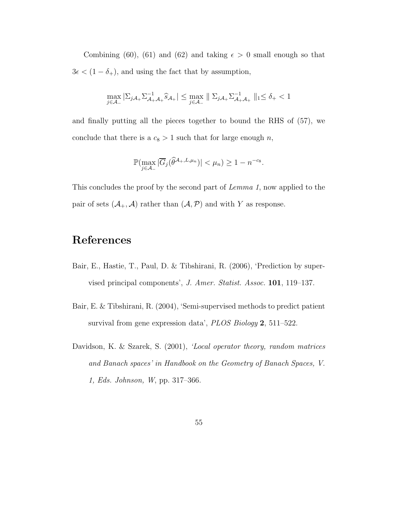Combining (60), (61) and (62) and taking  $\epsilon > 0$  small enough so that  $3\epsilon < (1-\delta_+),$  and using the fact that by assumption,

$$
\max_{j\in\mathcal{A}_-}|\Sigma_{j\mathcal{A}_+}\Sigma_{\mathcal{A}_+\mathcal{A}_+}^{-1}\widehat{s}_{\mathcal{A}_+}| \leq \max_{j\in\mathcal{A}_-}\parallel\Sigma_{j\mathcal{A}_+}\Sigma_{\mathcal{A}_+\mathcal{A}_+}^{-1}\parallel_1\leq\delta_+<1
$$

and finally putting all the pieces together to bound the RHS of (57), we conclude that there is a  $c_8 > 1$  such that for large enough n,

$$
\mathbb{P}(\max_{j\in\mathcal{A}_-}|\overline{G}_j(\widehat{\theta}^{\mathcal{A}_+,L,\mu_n})|<\mu_n)\geq 1-n^{-c_8}.
$$

This concludes the proof by the second part of Lemma 1, now applied to the pair of sets  $(\mathcal{A}_+, \mathcal{A})$  rather than  $(\mathcal{A}, \mathcal{P})$  and with Y as response.

# References

- Bair, E., Hastie, T., Paul, D. & Tibshirani, R. (2006), 'Prediction by supervised principal components', J. Amer. Statist. Assoc. 101, 119–137.
- Bair, E. & Tibshirani, R. (2004), 'Semi-supervised methods to predict patient survival from gene expression data', *PLOS Biology* 2, 511–522.
- Davidson, K. & Szarek, S. (2001), 'Local operator theory, random matrices and Banach spaces' in Handbook on the Geometry of Banach Spaces, V. 1, Eds. Johnson, W, pp. 317–366.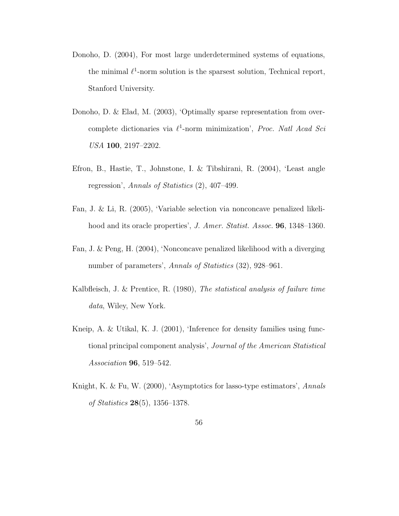- Donoho, D. (2004), For most large underdetermined systems of equations, the minimal  $\ell^1$ -norm solution is the sparsest solution, Technical report, Stanford University.
- Donoho, D. & Elad, M. (2003), 'Optimally sparse representation from overcomplete dictionaries via  $\ell^1$ -norm minimization', Proc. Natl Acad Sci USA 100, 2197–2202.
- Efron, B., Hastie, T., Johnstone, I. & Tibshirani, R. (2004), 'Least angle regression', Annals of Statistics (2), 407–499.
- Fan, J. & Li, R. (2005), 'Variable selection via nonconcave penalized likelihood and its oracle properties', J. Amer. Statist. Assoc. **96**, 1348–1360.
- Fan, J. & Peng, H. (2004), 'Nonconcave penalized likelihood with a diverging number of parameters', Annals of Statistics  $(32)$ , 928–961.
- Kalbfleisch, J. & Prentice, R. (1980), The statistical analysis of failure time data, Wiley, New York.
- Kneip, A. & Utikal, K. J. (2001), 'Inference for density families using functional principal component analysis', Journal of the American Statistical Association 96, 519–542.
- Knight, K. & Fu, W. (2000), 'Asymptotics for lasso-type estimators', Annals of Statistics 28(5), 1356–1378.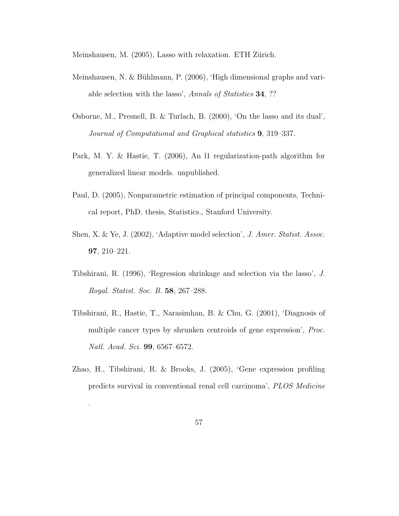Meinshausen, M. (2005), Lasso with relaxation. ETH Zürich.

- Meinshausen, N. & Bühlmann, P.  $(2006)$ , 'High dimensional graphs and variable selection with the lasso', Annals of Statistics 34, ??
- Osborne, M., Presnell, B. & Turlach, B. (2000), 'On the lasso and its dual', Journal of Computational and Graphical statistics 9, 319–337.
- Park, M. Y. & Hastie, T. (2006), An l1 regularization-path algorithm for generalized linear models. unpublished.
- Paul, D. (2005), Nonparametric estimation of principal components, Technical report, PhD. thesis, Statistics., Stanford University.
- Shen, X. & Ye, J. (2002), 'Adaptive model selection', J. Amer. Statist. Assoc. 97, 210–221.
- Tibshirani, R. (1996), 'Regression shrinkage and selection via the lasso', J. Royal. Statist. Soc. B. 58, 267–288.
- Tibshirani, R., Hastie, T., Narasimhan, B. & Chu, G. (2001), 'Diagnosis of multiple cancer types by shrunken centroids of gene expression', Proc. Natl. Acad. Sci. 99, 6567–6572.
- Zhao, H., Tibshirani, R. & Brooks, J. (2005), 'Gene expression profiling predicts survival in conventional renal cell carcinoma', PLOS Medicine

.